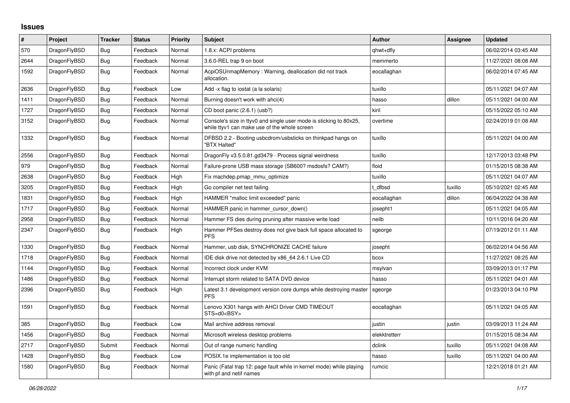## **Issues**

| #    | Project      | <b>Tracker</b> | <b>Status</b> | Priority | <b>Subject</b>                                                                                                     | <b>Author</b> | Assignee | <b>Updated</b>      |
|------|--------------|----------------|---------------|----------|--------------------------------------------------------------------------------------------------------------------|---------------|----------|---------------------|
| 570  | DragonFlyBSD | <b>Bug</b>     | Feedback      | Normal   | 1.8.x: ACPI problems                                                                                               | qhwt+dfly     |          | 06/02/2014 03:45 AM |
| 2644 | DragonFlyBSD | <b>Bug</b>     | Feedback      | Normal   | 3.6.0-REL trap 9 on boot                                                                                           | memmerto      |          | 11/27/2021 08:08 AM |
| 1592 | DragonFlyBSD | <b>Bug</b>     | Feedback      | Normal   | AcpiOSUnmapMemory: Warning, deallocation did not track<br>allocation.                                              | eocallaghan   |          | 06/02/2014 07:45 AM |
| 2636 | DragonFlyBSD | Bug            | Feedback      | Low      | Add -x flag to iostat (a la solaris)                                                                               | tuxillo       |          | 05/11/2021 04:07 AM |
| 1411 | DragonFlyBSD | Bug            | Feedback      | Normal   | Burning doesn't work with ahci(4)                                                                                  | hasso         | dillon   | 05/11/2021 04:00 AM |
| 1727 | DragonFlyBSD | <b>Bug</b>     | Feedback      | Normal   | CD boot panic (2.6.1) (usb?)                                                                                       | kiril         |          | 05/15/2022 05:10 AM |
| 3152 | DragonFlyBSD | Bug            | Feedback      | Normal   | Console's size in ttyv0 and single user mode is sticking to 80x25,<br>while ttyv1 can make use of the whole screen | overtime      |          | 02/24/2019 01:08 AM |
| 1332 | DragonFlyBSD | Bug            | Feedback      | Normal   | DFBSD 2.2 - Booting usbcdrom/usbsticks on thinkpad hangs on<br>"BTX Halted"                                        | tuxillo       |          | 05/11/2021 04:00 AM |
| 2556 | DragonFlyBSD | <b>Bug</b>     | Feedback      | Normal   | DragonFly v3.5.0.81.gd3479 - Process signal weirdness                                                              | tuxillo       |          | 12/17/2013 03:48 PM |
| 979  | DragonFlyBSD | Bug            | Feedback      | Normal   | Failure-prone USB mass storage (SB600? msdosfs? CAM?)                                                              | floid         |          | 01/15/2015 08:38 AM |
| 2638 | DragonFlyBSD | Bug            | Feedback      | High     | Fix machdep.pmap mmu optimize                                                                                      | tuxillo       |          | 05/11/2021 04:07 AM |
| 3205 | DragonFlyBSD | <b>Bug</b>     | Feedback      | High     | Go compiler net test failing                                                                                       | t dfbsd       | tuxillo  | 05/10/2021 02:45 AM |
| 1831 | DragonFlyBSD | Bug            | Feedback      | High     | HAMMER "malloc limit exceeded" panic                                                                               | eocallaghan   | dillon   | 06/04/2022 04:38 AM |
| 1717 | DragonFlyBSD | Bug            | Feedback      | Normal   | HAMMER panic in hammer_cursor_down()                                                                               | josepht1      |          | 05/11/2021 04:05 AM |
| 2958 | DragonFlyBSD | Bug            | Feedback      | Normal   | Hammer FS dies during pruning after massive write load                                                             | neilb         |          | 10/11/2016 04:20 AM |
| 2347 | DragonFlyBSD | <b>Bug</b>     | Feedback      | High     | Hammer PFSes destroy does not give back full space allocated to<br><b>PFS</b>                                      | sgeorge       |          | 07/19/2012 01:11 AM |
| 1330 | DragonFlyBSD | <b>Bug</b>     | Feedback      | Normal   | Hammer, usb disk, SYNCHRONIZE CACHE failure                                                                        | josepht       |          | 06/02/2014 04:56 AM |
| 1718 | DragonFlyBSD | <b>Bug</b>     | Feedback      | Normal   | IDE disk drive not detected by x86_64 2.6.1 Live CD                                                                | bcox          |          | 11/27/2021 08:25 AM |
| 1144 | DragonFlyBSD | Bug            | Feedback      | Normal   | Incorrect clock under KVM                                                                                          | msylvan       |          | 03/09/2013 01:17 PM |
| 1486 | DragonFlyBSD | <b>Bug</b>     | Feedback      | Normal   | Interrupt storm related to SATA DVD device                                                                         | hasso         |          | 05/11/2021 04:01 AM |
| 2396 | DragonFlyBSD | <b>Bug</b>     | Feedback      | High     | Latest 3.1 development version core dumps while destroying master<br><b>PFS</b>                                    | sgeorge       |          | 01/23/2013 04:10 PM |
| 1591 | DragonFlyBSD | <b>Bug</b>     | Feedback      | Normal   | Lenovo X301 hangs with AHCI Driver CMD TIMEOUT<br>STS=d0 <bsy></bsy>                                               | eocallaghan   |          | 05/11/2021 04:05 AM |
| 385  | DragonFlyBSD | <b>Bug</b>     | Feedback      | Low      | Mail archive address removal                                                                                       | justin        | justin   | 03/09/2013 11:24 AM |
| 1456 | DragonFlyBSD | Bug            | Feedback      | Normal   | Microsoft wireless desktop problems                                                                                | elekktretterr |          | 01/15/2015 08:34 AM |
| 2717 | DragonFlyBSD | Submit         | Feedback      | Normal   | Out of range numeric handling                                                                                      | dclink        | tuxillo  | 05/11/2021 04:08 AM |
| 1428 | DragonFlyBSD | <b>Bug</b>     | Feedback      | Low      | POSIX.1e implementation is too old                                                                                 | hasso         | tuxillo  | 05/11/2021 04:00 AM |
| 1580 | DragonFlyBSD | Bug            | Feedback      | Normal   | Panic (Fatal trap 12: page fault while in kernel mode) while playing<br>with pf and netif names                    | rumcic        |          | 12/21/2018 01:21 AM |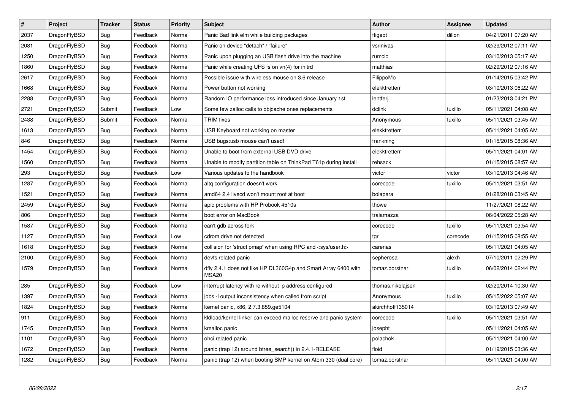| $\vert$ # | Project      | <b>Tracker</b> | <b>Status</b> | <b>Priority</b> | <b>Subject</b>                                                          | Author            | Assignee | <b>Updated</b>      |
|-----------|--------------|----------------|---------------|-----------------|-------------------------------------------------------------------------|-------------------|----------|---------------------|
| 2037      | DragonFlyBSD | Bug            | Feedback      | Normal          | Panic Bad link elm while building packages                              | ftigeot           | dillon   | 04/21/2011 07:20 AM |
| 2081      | DragonFlyBSD | <b>Bug</b>     | Feedback      | Normal          | Panic on device "detach" / "failure"                                    | vsrinivas         |          | 02/29/2012 07:11 AM |
| 1250      | DragonFlyBSD | <b>Bug</b>     | Feedback      | Normal          | Panic upon plugging an USB flash drive into the machine                 | rumcic            |          | 03/10/2013 05:17 AM |
| 1860      | DragonFlyBSD | Bug            | Feedback      | Normal          | Panic while creating UFS fs on vn(4) for initrd                         | matthias          |          | 02/29/2012 07:16 AM |
| 2617      | DragonFlyBSD | <b>Bug</b>     | Feedback      | Normal          | Possible issue with wireless mouse on 3.6 release                       | FilippoMo         |          | 01/14/2015 03:42 PM |
| 1668      | DragonFlyBSD | <b>Bug</b>     | Feedback      | Normal          | Power button not working                                                | elekktretterr     |          | 03/10/2013 06:22 AM |
| 2288      | DragonFlyBSD | Bug            | Feedback      | Normal          | Random IO performance loss introduced since January 1st                 | lentferj          |          | 01/23/2013 04:21 PM |
| 2721      | DragonFlyBSD | Submit         | Feedback      | Low             | Some few zalloc calls to objcache ones replacements                     | dclink            | tuxillo  | 05/11/2021 04:08 AM |
| 2438      | DragonFlyBSD | Submit         | Feedback      | Normal          | <b>TRIM</b> fixes                                                       | Anonymous         | tuxillo  | 05/11/2021 03:45 AM |
| 1613      | DragonFlyBSD | Bug            | Feedback      | Normal          | USB Keyboard not working on master                                      | elekktretterr     |          | 05/11/2021 04:05 AM |
| 846       | DragonFlyBSD | Bug            | Feedback      | Normal          | USB bugs:usb mouse can't used!                                          | frankning         |          | 01/15/2015 08:36 AM |
| 1454      | DragonFlyBSD | <b>Bug</b>     | Feedback      | Normal          | Unable to boot from external USB DVD drive                              | elekktretterr     |          | 05/11/2021 04:01 AM |
| 1560      | DragonFlyBSD | <b>Bug</b>     | Feedback      | Normal          | Unable to modify partition table on ThinkPad T61p during install        | rehsack           |          | 01/15/2015 08:57 AM |
| 293       | DragonFlyBSD | Bug            | Feedback      | Low             | Various updates to the handbook                                         | victor            | victor   | 03/10/2013 04:46 AM |
| 1287      | DragonFlyBSD | <b>Bug</b>     | Feedback      | Normal          | altg configuration doesn't work                                         | corecode          | tuxillo  | 05/11/2021 03:51 AM |
| 1521      | DragonFlyBSD | <b>Bug</b>     | Feedback      | Normal          | amd64 2.4 livecd won't mount root at boot                               | bolapara          |          | 01/28/2018 03:45 AM |
| 2459      | DragonFlyBSD | Bug            | Feedback      | Normal          | apic problems with HP Probook 4510s                                     | thowe             |          | 11/27/2021 08:22 AM |
| 806       | DragonFlyBSD | Bug            | Feedback      | Normal          | boot error on MacBook                                                   | tralamazza        |          | 06/04/2022 05:28 AM |
| 1587      | DragonFlyBSD | <b>Bug</b>     | Feedback      | Normal          | can't gdb across fork                                                   | corecode          | tuxillo  | 05/11/2021 03:54 AM |
| 1127      | DragonFlyBSD | <b>Bug</b>     | Feedback      | Low             | cdrom drive not detected                                                | tgr               | corecode | 01/15/2015 08:55 AM |
| 1618      | DragonFlyBSD | Bug            | Feedback      | Normal          | collision for 'struct pmap' when using RPC and <sys user.h=""></sys>    | carenas           |          | 05/11/2021 04:05 AM |
| 2100      | DragonFlyBSD | <b>Bug</b>     | Feedback      | Normal          | devfs related panic                                                     | sepherosa         | alexh    | 07/10/2011 02:29 PM |
| 1579      | DragonFlyBSD | <b>Bug</b>     | Feedback      | Normal          | dfly 2.4.1 does not like HP DL360G4p and Smart Array 6400 with<br>MSA20 | tomaz.borstnar    | tuxillo  | 06/02/2014 02:44 PM |
| 285       | DragonFlyBSD | Bug            | Feedback      | Low             | interrupt latency with re without ip address configured                 | thomas.nikolajsen |          | 02/20/2014 10:30 AM |
| 1397      | DragonFlyBSD | <b>Bug</b>     | Feedback      | Normal          | jobs -I output inconsistency when called from script                    | Anonymous         | tuxillo  | 05/15/2022 05:07 AM |
| 1824      | DragonFlyBSD | Bug            | Feedback      | Normal          | kernel panic, x86, 2.7.3.859.ge5104                                     | akirchhoff135014  |          | 03/10/2013 07:49 AM |
| 911       | DragonFlyBSD | Bug            | Feedback      | Normal          | kldload/kernel linker can exceed malloc reserve and panic system        | corecode          | tuxillo  | 05/11/2021 03:51 AM |
| 1745      | DragonFlyBSD | <b>Bug</b>     | Feedback      | Normal          | kmalloc panic                                                           | josepht           |          | 05/11/2021 04:05 AM |
| 1101      | DragonFlyBSD | <b>Bug</b>     | Feedback      | Normal          | ohci related panic                                                      | polachok          |          | 05/11/2021 04:00 AM |
| 1672      | DragonFlyBSD | Bug            | Feedback      | Normal          | panic (trap 12) around btree search() in 2.4.1-RELEASE                  | floid             |          | 01/19/2015 03:36 AM |
| 1282      | DragonFlyBSD | Bug            | Feedback      | Normal          | panic (trap 12) when booting SMP kernel on Atom 330 (dual core)         | tomaz.borstnar    |          | 05/11/2021 04:00 AM |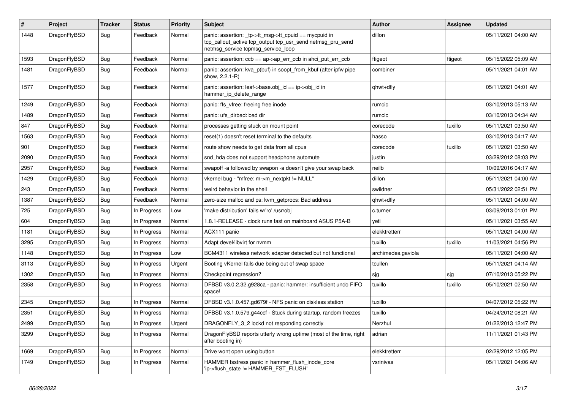| #    | Project      | <b>Tracker</b> | <b>Status</b> | <b>Priority</b> | <b>Subject</b>                                                                                                                                            | <b>Author</b>      | <b>Assignee</b> | <b>Updated</b>      |
|------|--------------|----------------|---------------|-----------------|-----------------------------------------------------------------------------------------------------------------------------------------------------------|--------------------|-----------------|---------------------|
| 1448 | DragonFlyBSD | Bug            | Feedback      | Normal          | panic: assertion: _tp->tt_msg->tt_cpuid == mycpuid in<br>tcp_callout_active tcp_output tcp_usr_send netmsg_pru_send<br>netmsg_service tcpmsg_service_loop | dillon             |                 | 05/11/2021 04:00 AM |
| 1593 | DragonFlyBSD | Bug            | Feedback      | Normal          | panic: assertion: ccb == ap->ap_err_ccb in ahci_put_err_ccb                                                                                               | ftigeot            | ftigeot         | 05/15/2022 05:09 AM |
| 1481 | DragonFlyBSD | <b>Bug</b>     | Feedback      | Normal          | panic: assertion: kva_p(buf) in soopt_from_kbuf (after ipfw pipe<br>show, 2.2.1-R)                                                                        | combiner           |                 | 05/11/2021 04:01 AM |
| 1577 | DragonFlyBSD | Bug            | Feedback      | Normal          | panic: assertion: leaf->base.obj_id == ip->obj_id in<br>hammer_ip_delete_range                                                                            | qhwt+dfly          |                 | 05/11/2021 04:01 AM |
| 1249 | DragonFlyBSD | Bug            | Feedback      | Normal          | panic: ffs_vfree: freeing free inode                                                                                                                      | rumcic             |                 | 03/10/2013 05:13 AM |
| 1489 | DragonFlyBSD | Bug            | Feedback      | Normal          | panic: ufs dirbad: bad dir                                                                                                                                | rumcic             |                 | 03/10/2013 04:34 AM |
| 847  | DragonFlyBSD | <b>Bug</b>     | Feedback      | Normal          | processes getting stuck on mount point                                                                                                                    | corecode           | tuxillo         | 05/11/2021 03:50 AM |
| 1563 | DragonFlyBSD | <b>Bug</b>     | Feedback      | Normal          | reset(1) doesn't reset terminal to the defaults                                                                                                           | hasso              |                 | 03/10/2013 04:17 AM |
| 901  | DragonFlyBSD | Bug            | Feedback      | Normal          | route show needs to get data from all cpus                                                                                                                | corecode           | tuxillo         | 05/11/2021 03:50 AM |
| 2090 | DragonFlyBSD | <b>Bug</b>     | Feedback      | Normal          | snd_hda does not support headphone automute                                                                                                               | justin             |                 | 03/29/2012 08:03 PM |
| 2957 | DragonFlyBSD | <b>Bug</b>     | Feedback      | Normal          | swapoff -a followed by swapon -a doesn't give your swap back                                                                                              | neilb              |                 | 10/09/2016 04:17 AM |
| 1429 | DragonFlyBSD | Bug            | Feedback      | Normal          | vkernel bug - "mfree: m->m_nextpkt != NULL"                                                                                                               | dillon             |                 | 05/11/2021 04:00 AM |
| 243  | DragonFlyBSD | <b>Bug</b>     | Feedback      | Normal          | weird behavior in the shell                                                                                                                               | swildner           |                 | 05/31/2022 02:51 PM |
| 1387 | DragonFlyBSD | <b>Bug</b>     | Feedback      | Normal          | zero-size malloc and ps: kvm_getprocs: Bad address                                                                                                        | qhwt+dfly          |                 | 05/11/2021 04:00 AM |
| 725  | DragonFlyBSD | <b>Bug</b>     | In Progress   | Low             | 'make distribution' fails w/'ro' /usr/obi                                                                                                                 | c.turner           |                 | 03/09/2013 01:01 PM |
| 604  | DragonFlyBSD | <b>Bug</b>     | In Progress   | Normal          | 1.8.1-RELEASE - clock runs fast on mainboard ASUS P5A-B                                                                                                   | yeti               |                 | 05/11/2021 03:55 AM |
| 1181 | DragonFlyBSD | Bug            | In Progress   | Normal          | ACX111 panic                                                                                                                                              | elekktretterr      |                 | 05/11/2021 04:00 AM |
| 3295 | DragonFlyBSD | Bug            | In Progress   | Normal          | Adapt devel/libvirt for nvmm                                                                                                                              | tuxillo            | tuxillo         | 11/03/2021 04:56 PM |
| 1148 | DragonFlyBSD | Bug            | In Progress   | Low             | BCM4311 wireless network adapter detected but not functional                                                                                              | archimedes.gaviola |                 | 05/11/2021 04:00 AM |
| 3113 | DragonFlyBSD | <b>Bug</b>     | In Progress   | Urgent          | Booting vKernel fails due being out of swap space                                                                                                         | tcullen            |                 | 05/11/2021 04:14 AM |
| 1302 | DragonFlyBSD | <b>Bug</b>     | In Progress   | Normal          | Checkpoint regression?                                                                                                                                    | sjg                | sjg             | 07/10/2013 05:22 PM |
| 2358 | DragonFlyBSD | <b>Bug</b>     | In Progress   | Normal          | DFBSD v3.0.2.32.g928ca - panic: hammer: insufficient undo FIFO<br>space!                                                                                  | tuxillo            | tuxillo         | 05/10/2021 02:50 AM |
| 2345 | DragonFlyBSD | Bug            | In Progress   | Normal          | DFBSD v3.1.0.457.gd679f - NFS panic on diskless station                                                                                                   | tuxillo            |                 | 04/07/2012 05:22 PM |
| 2351 | DragonFlyBSD | Bug            | In Progress   | Normal          | DFBSD v3.1.0.579.g44ccf - Stuck during startup, random freezes                                                                                            | tuxillo            |                 | 04/24/2012 08:21 AM |
| 2499 | DragonFlyBSD | <b>Bug</b>     | In Progress   | Urgent          | DRAGONFLY_3_2 lockd not responding correctly                                                                                                              | Nerzhul            |                 | 01/22/2013 12:47 PM |
| 3299 | DragonFlyBSD | <b>Bug</b>     | In Progress   | Normal          | DragonFlyBSD reports utterly wrong uptime (most of the time, right<br>after booting in)                                                                   | adrian             |                 | 11/11/2021 01:43 PM |
| 1669 | DragonFlyBSD | <b>Bug</b>     | In Progress   | Normal          | Drive wont open using button                                                                                                                              | elekktretterr      |                 | 02/29/2012 12:05 PM |
| 1749 | DragonFlyBSD | <b>Bug</b>     | In Progress   | Normal          | HAMMER fsstress panic in hammer_flush_inode_core<br>'ip->flush_state != HAMMER_FST_FLUSH'                                                                 | vsrinivas          |                 | 05/11/2021 04:06 AM |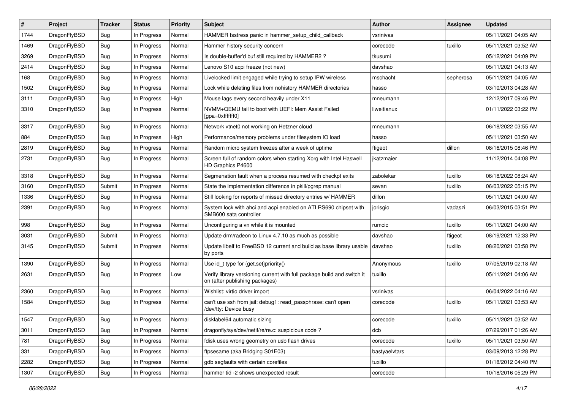| #    | Project      | <b>Tracker</b> | <b>Status</b> | <b>Priority</b> | <b>Subject</b>                                                                                            | Author        | Assignee  | <b>Updated</b>      |
|------|--------------|----------------|---------------|-----------------|-----------------------------------------------------------------------------------------------------------|---------------|-----------|---------------------|
| 1744 | DragonFlyBSD | <b>Bug</b>     | In Progress   | Normal          | HAMMER fsstress panic in hammer_setup_child_callback                                                      | vsrinivas     |           | 05/11/2021 04:05 AM |
| 1469 | DragonFlyBSD | Bug            | In Progress   | Normal          | Hammer history security concern                                                                           | corecode      | tuxillo   | 05/11/2021 03:52 AM |
| 3269 | DragonFlyBSD | Bug            | In Progress   | Normal          | Is double-buffer'd buf still required by HAMMER2 ?                                                        | tkusumi       |           | 05/12/2021 04:09 PM |
| 2414 | DragonFlyBSD | <b>Bug</b>     | In Progress   | Normal          | Lenovo S10 acpi freeze (not new)                                                                          | davshao       |           | 05/11/2021 04:13 AM |
| 168  | DragonFlyBSD | <b>Bug</b>     | In Progress   | Normal          | Livelocked limit engaged while trying to setup IPW wireless                                               | mschacht      | sepherosa | 05/11/2021 04:05 AM |
| 1502 | DragonFlyBSD | <b>Bug</b>     | In Progress   | Normal          | Lock while deleting files from nohistory HAMMER directories                                               | hasso         |           | 03/10/2013 04:28 AM |
| 3111 | DragonFlyBSD | <b>Bug</b>     | In Progress   | High            | Mouse lags every second heavily under X11                                                                 | mneumann      |           | 12/12/2017 09:46 PM |
| 3310 | DragonFlyBSD | <b>Bug</b>     | In Progress   | Normal          | NVMM+QEMU fail to boot with UEFI: Mem Assist Failed<br>[gpa=0xfffffff0]                                   | liweitianux   |           | 01/11/2022 03:22 PM |
| 3317 | DragonFlyBSD | Bug            | In Progress   | Normal          | Network vtnet0 not working on Hetzner cloud                                                               | mneumann      |           | 06/18/2022 03:55 AM |
| 884  | DragonFlyBSD | <b>Bug</b>     | In Progress   | High            | Performance/memory problems under filesystem IO load                                                      | hasso         |           | 05/11/2021 03:50 AM |
| 2819 | DragonFlyBSD | <b>Bug</b>     | In Progress   | Normal          | Random micro system freezes after a week of uptime                                                        | ftigeot       | dillon    | 08/16/2015 08:46 PM |
| 2731 | DragonFlyBSD | Bug            | In Progress   | Normal          | Screen full of random colors when starting Xorg with Intel Haswell<br>HD Graphics P4600                   | jkatzmaier    |           | 11/12/2014 04:08 PM |
| 3318 | DragonFlyBSD | Bug            | In Progress   | Normal          | Segmenation fault when a process resumed with checkpt exits                                               | zabolekar     | tuxillo   | 06/18/2022 08:24 AM |
| 3160 | DragonFlyBSD | Submit         | In Progress   | Normal          | State the implementation difference in pkill/pgrep manual                                                 | sevan         | tuxillo   | 06/03/2022 05:15 PM |
| 1336 | DragonFlyBSD | <b>Bug</b>     | In Progress   | Normal          | Still looking for reports of missed directory entries w/ HAMMER                                           | dillon        |           | 05/11/2021 04:00 AM |
| 2391 | DragonFlyBSD | Bug            | In Progress   | Normal          | System lock with ahci and acpi enabled on ATI RS690 chipset with<br>SMB600 sata controller                | jorisgio      | vadaszi   | 06/03/2015 03:51 PM |
| 998  | DragonFlyBSD | Bug            | In Progress   | Normal          | Unconfiguring a vn while it is mounted                                                                    | rumcic        | tuxillo   | 05/11/2021 04:00 AM |
| 3031 | DragonFlyBSD | Submit         | In Progress   | Normal          | Update drm/radeon to Linux 4.7.10 as much as possible                                                     | davshao       | ftigeot   | 08/19/2021 12:33 PM |
| 3145 | DragonFlyBSD | Submit         | In Progress   | Normal          | Update libelf to FreeBSD 12 current and build as base library usable<br>by ports                          | davshao       | tuxillo   | 08/20/2021 03:58 PM |
| 1390 | DragonFlyBSD | Bug            | In Progress   | Normal          | Use id t type for $\{get, set\}$ priority $()$                                                            | Anonymous     | tuxillo   | 07/05/2019 02:18 AM |
| 2631 | DragonFlyBSD | <b>Bug</b>     | In Progress   | Low             | Verify library versioning current with full package build and switch it<br>on (after publishing packages) | tuxillo       |           | 05/11/2021 04:06 AM |
| 2360 | DragonFlyBSD | <b>Bug</b>     | In Progress   | Normal          | Wishlist: virtio driver import                                                                            | vsrinivas     |           | 06/04/2022 04:16 AM |
| 1584 | DragonFlyBSD | <b>Bug</b>     | In Progress   | Normal          | can't use ssh from jail: debug1: read_passphrase: can't open<br>/dev/tty: Device busy                     | corecode      | tuxillo   | 05/11/2021 03:53 AM |
| 1547 | DragonFlyBSD | Bug            | In Progress   | Normal          | disklabel64 automatic sizing                                                                              | corecode      | tuxillo   | 05/11/2021 03:52 AM |
| 3011 | DragonFlyBSD | Bug            | In Progress   | Normal          | dragonfly/sys/dev/netif/re/re.c: suspicious code ?                                                        | dcb           |           | 07/29/2017 01:26 AM |
| 781  | DragonFlyBSD | Bug            | In Progress   | Normal          | fdisk uses wrong geometry on usb flash drives                                                             | corecode      | tuxillo   | 05/11/2021 03:50 AM |
| 331  | DragonFlyBSD | <b>Bug</b>     | In Progress   | Normal          | ftpsesame (aka Bridging S01E03)                                                                           | bastyaelvtars |           | 03/09/2013 12:28 PM |
| 2282 | DragonFlyBSD | <b>Bug</b>     | In Progress   | Normal          | gdb segfaults with certain corefiles                                                                      | tuxillo       |           | 01/18/2012 04:40 PM |
| 1307 | DragonFlyBSD | <b>Bug</b>     | In Progress   | Normal          | hammer tid -2 shows unexpected result                                                                     | corecode      |           | 10/18/2016 05:29 PM |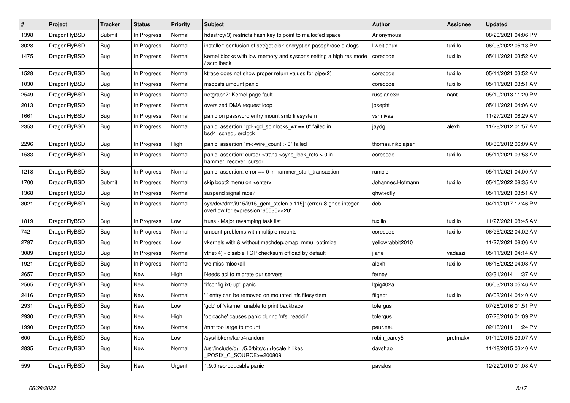| $\vert$ # | <b>Project</b> | <b>Tracker</b> | <b>Status</b> | Priority | <b>Subject</b>                                                                                         | Author            | Assignee | <b>Updated</b>      |
|-----------|----------------|----------------|---------------|----------|--------------------------------------------------------------------------------------------------------|-------------------|----------|---------------------|
| 1398      | DragonFlyBSD   | Submit         | In Progress   | Normal   | hdestroy(3) restricts hash key to point to malloc'ed space                                             | Anonymous         |          | 08/20/2021 04:06 PM |
| 3028      | DragonFlyBSD   | <b>Bug</b>     | In Progress   | Normal   | installer: confusion of set/get disk encryption passphrase dialogs                                     | liweitianux       | tuxillo  | 06/03/2022 05:13 PM |
| 1475      | DragonFlyBSD   | <b>Bug</b>     | In Progress   | Normal   | kernel blocks with low memory and syscons setting a high res mode<br>/ scrollback                      | corecode          | tuxillo  | 05/11/2021 03:52 AM |
| 1528      | DragonFlyBSD   | <b>Bug</b>     | In Progress   | Normal   | ktrace does not show proper return values for pipe(2)                                                  | corecode          | tuxillo  | 05/11/2021 03:52 AM |
| 1030      | DragonFlyBSD   | <b>Bug</b>     | In Progress   | Normal   | msdosfs umount panic                                                                                   | corecode          | tuxillo  | 05/11/2021 03:51 AM |
| 2549      | DragonFlyBSD   | Bug            | In Progress   | Normal   | netgraph7: Kernel page fault.                                                                          | russiane39        | nant     | 05/10/2013 11:20 PM |
| 2013      | DragonFlyBSD   | <b>Bug</b>     | In Progress   | Normal   | oversized DMA request loop                                                                             | josepht           |          | 05/11/2021 04:06 AM |
| 1661      | DragonFlyBSD   | <b>Bug</b>     | In Progress   | Normal   | panic on password entry mount smb filesystem                                                           | vsrinivas         |          | 11/27/2021 08:29 AM |
| 2353      | DragonFlyBSD   | <b>Bug</b>     | In Progress   | Normal   | panic: assertion "gd->gd_spinlocks_wr == 0" failed in<br>bsd4 schedulerclock                           | jaydg             | alexh    | 11/28/2012 01:57 AM |
| 2296      | DragonFlyBSD   | <b>Bug</b>     | In Progress   | High     | panic: assertion "m->wire count > $0$ " failed                                                         | thomas.nikolajsen |          | 08/30/2012 06:09 AM |
| 1583      | DragonFlyBSD   | <b>Bug</b>     | In Progress   | Normal   | panic: assertion: cursor->trans->sync_lock_refs > 0 in<br>hammer_recover_cursor                        | corecode          | tuxillo  | 05/11/2021 03:53 AM |
| 1218      | DragonFlyBSD   | <b>Bug</b>     | In Progress   | Normal   | panic: assertion: $error == 0$ in hammer start transaction                                             | rumcic            |          | 05/11/2021 04:00 AM |
| 1700      | DragonFlyBSD   | Submit         | In Progress   | Normal   | skip boot2 menu on <enter></enter>                                                                     | Johannes.Hofmann  | tuxillo  | 05/15/2022 08:35 AM |
| 1368      | DragonFlyBSD   | <b>Bug</b>     | In Progress   | Normal   | suspend signal race?                                                                                   | qhwt+dfly         |          | 05/11/2021 03:51 AM |
| 3021      | DragonFlyBSD   | <b>Bug</b>     | In Progress   | Normal   | sys/dev/drm/i915/i915_gem_stolen.c:115]: (error) Signed integer<br>overflow for expression '65535<<20' | dcb               |          | 04/11/2017 12:46 PM |
| 1819      | DragonFlyBSD   | Bug            | In Progress   | Low      | truss - Major revamping task list                                                                      | tuxillo           | tuxillo  | 11/27/2021 08:45 AM |
| 742       | DragonFlyBSD   | Bug            | In Progress   | Normal   | umount problems with multiple mounts                                                                   | corecode          | tuxillo  | 06/25/2022 04:02 AM |
| 2797      | DragonFlyBSD   | <b>Bug</b>     | In Progress   | Low      | vkernels with & without machdep.pmap mmu optimize                                                      | yellowrabbit2010  |          | 11/27/2021 08:06 AM |
| 3089      | DragonFlyBSD   | Bug            | In Progress   | Normal   | vtnet(4) - disable TCP checksum offload by default                                                     | jlane             | vadaszi  | 05/11/2021 04:14 AM |
| 1921      | DragonFlyBSD   | <b>Bug</b>     | In Progress   | Normal   | we miss mlockall                                                                                       | alexh             | tuxillo  | 06/18/2022 04:08 AM |
| 2657      | DragonFlyBSD   | <b>Bug</b>     | <b>New</b>    | High     | Needs acl to migrate our servers                                                                       | ferney            |          | 03/31/2014 11:37 AM |
| 2565      | DragonFlyBSD   | Bug            | <b>New</b>    | Normal   | "ifconfig ix0 up" panic                                                                                | ltpig402a         |          | 06/03/2013 05:46 AM |
| 2416      | DragonFlyBSD   | <b>Bug</b>     | <b>New</b>    | Normal   | ".' entry can be removed on mounted nfs filesystem                                                     | ftigeot           | tuxillo  | 06/03/2014 04:40 AM |
| 2931      | DragonFlyBSD   | <b>Bug</b>     | <b>New</b>    | Low      | 'gdb' of 'vkernel' unable to print backtrace                                                           | tofergus          |          | 07/26/2016 01:51 PM |
| 2930      | DragonFlyBSD   | <b>Bug</b>     | <b>New</b>    | High     | 'objcache' causes panic during 'nfs_readdir'                                                           | tofergus          |          | 07/26/2016 01:09 PM |
| 1990      | DragonFlyBSD   | Bug            | <b>New</b>    | Normal   | mnt too large to mount                                                                                 | peur.neu          |          | 02/16/2011 11:24 PM |
| 600       | DragonFlyBSD   | <b>Bug</b>     | <b>New</b>    | Low      | /sys/libkern/karc4random                                                                               | robin carey5      | profmakx | 01/19/2015 03:07 AM |
| 2835      | DragonFlyBSD   | <b>Bug</b>     | <b>New</b>    | Normal   | /usr/include/c++/5.0/bits/c++locale.h likes<br>POSIX_C_SOURCE>=200809                                  | davshao           |          | 11/18/2015 03:40 AM |
| 599       | DragonFlyBSD   | Bug            | <b>New</b>    | Urgent   | 1.9.0 reproducable panic                                                                               | pavalos           |          | 12/22/2010 01:08 AM |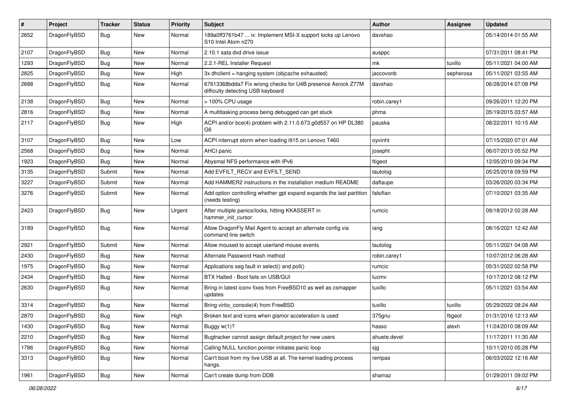| $\#$ | Project      | <b>Tracker</b> | <b>Status</b> | <b>Priority</b> | <b>Subject</b>                                                                                             | Author       | Assignee  | <b>Updated</b>      |
|------|--------------|----------------|---------------|-----------------|------------------------------------------------------------------------------------------------------------|--------------|-----------|---------------------|
| 2652 | DragonFlyBSD | Bug            | New           | Normal          | 189a0ff3761b47  ix: Implement MSI-X support locks up Lenovo<br>S <sub>10</sub> Intel Atom n <sub>270</sub> | davshao      |           | 05/14/2014 01:55 AM |
| 2107 | DragonFlyBSD | Bug            | <b>New</b>    | Normal          | 2.10.1 sata dvd drive issue                                                                                | ausppc       |           | 07/31/2011 08:41 PM |
| 1293 | DragonFlyBSD | Bug            | New           | Normal          | 2.2.1-REL Installer Request                                                                                | mk           | tuxillo   | 05/11/2021 04:00 AM |
| 2825 | DragonFlyBSD | Bug            | <b>New</b>    | High            | 3x dhclient = hanging system (objcache exhausted)                                                          | jaccovonb    | sepherosa | 05/11/2021 03:55 AM |
| 2688 | DragonFlyBSD | Bug            | New           | Normal          | 67613368bdda7 Fix wrong checks for U4B presence Asrock Z77M<br>difficulty detecting USB keyboard           | davshao      |           | 06/28/2014 07:08 PM |
| 2138 | DragonFlyBSD | Bug            | New           | Normal          | > 100% CPU usage                                                                                           | robin.carey1 |           | 09/26/2011 12:20 PM |
| 2816 | DragonFlyBSD | Bug            | <b>New</b>    | Normal          | A multitasking process being debugged can get stuck                                                        | phma         |           | 05/19/2015 03:57 AM |
| 2117 | DragonFlyBSD | Bug            | New           | High            | ACPI and/or bce(4) problem with 2.11.0.673.g0d557 on HP DL380<br>G6                                        | pauska       |           | 08/22/2011 10:15 AM |
| 3107 | DragonFlyBSD | Bug            | <b>New</b>    | Low             | ACPI interrupt storm when loading i915 on Lenovo T460                                                      | oyvinht      |           | 07/15/2020 07:01 AM |
| 2568 | DragonFlyBSD | Bug            | <b>New</b>    | Normal          | AHCI panic                                                                                                 | josepht      |           | 06/07/2013 05:52 PM |
| 1923 | DragonFlyBSD | Bug            | New           | Normal          | Abysmal NFS performance with IPv6                                                                          | ftigeot      |           | 12/05/2010 09:34 PM |
| 3135 | DragonFlyBSD | Submit         | New           | Normal          | Add EVFILT_RECV and EVFILT_SEND                                                                            | tautolog     |           | 05/25/2018 09:59 PM |
| 3227 | DragonFlyBSD | Submit         | New           | Normal          | Add HAMMER2 instructions in the installation medium README                                                 | daftaupe     |           | 03/26/2020 03:34 PM |
| 3276 | DragonFlyBSD | Submit         | New           | Normal          | Add option controlling whether gpt expand expands the last partition<br>(needs testing)                    | falsifian    |           | 07/10/2021 03:35 AM |
| 2423 | DragonFlyBSD | Bug            | New           | Urgent          | After multiple panics/locks, hitting KKASSERT in<br>hammer init cursor                                     | rumcic       |           | 09/18/2012 02:28 AM |
| 3189 | DragonFlyBSD | Bug            | New           | Normal          | Allow DragonFly Mail Agent to accept an alternate config via<br>command line switch                        | iang         |           | 08/16/2021 12:42 AM |
| 2921 | DragonFlyBSD | Submit         | New           | Normal          | Allow moused to accept userland mouse events                                                               | tautolog     |           | 05/11/2021 04:08 AM |
| 2430 | DragonFlyBSD | Bug            | New           | Normal          | Alternate Password Hash method                                                                             | robin.carey1 |           | 10/07/2012 06:28 AM |
| 1975 | DragonFlyBSD | Bug            | <b>New</b>    | Normal          | Applications seg fault in select() and poll()                                                              | rumcic       |           | 05/31/2022 02:58 PM |
| 2434 | DragonFlyBSD | Bug            | New           | Normal          | BTX Halted - Boot fails on USB/GUI                                                                         | lucmv        |           | 10/17/2012 08:12 PM |
| 2630 | DragonFlyBSD | <b>Bug</b>     | <b>New</b>    | Normal          | Bring in latest iconv fixes from FreeBSD10 as well as csmapper<br>updates                                  | tuxillo      |           | 05/11/2021 03:54 AM |
| 3314 | DragonFlyBSD | Bug            | <b>New</b>    | Normal          | Bring virtio_console(4) from FreeBSD                                                                       | tuxillo      | tuxillo   | 05/29/2022 08:24 AM |
| 2870 | DragonFlyBSD | Bug            | New           | High            | Broken text and icons when glamor acceleration is used                                                     | 375gnu       | ftigeot   | 01/31/2016 12:13 AM |
| 1430 | DragonFlyBSD | <b>Bug</b>     | New           | Normal          | Buggy w(1)?                                                                                                | hasso        | alexh     | 11/24/2010 08:09 AM |
| 2210 | DragonFlyBSD | <b>Bug</b>     | <b>New</b>    | Normal          | Bugtracker cannot assign default project for new users                                                     | ahuete.devel |           | 11/17/2011 11:30 AM |
| 1786 | DragonFlyBSD | Bug            | New           | Normal          | Calling NULL function pointer initiates panic loop                                                         | sjg          |           | 10/11/2010 05:28 PM |
| 3313 | DragonFlyBSD | <b>Bug</b>     | New           | Normal          | Can't boot from my live USB at all. The kernel loading process<br>hangs.                                   | rempas       |           | 06/03/2022 12:16 AM |
| 1961 | DragonFlyBSD | <b>Bug</b>     | New           | Normal          | Can't create dump from DDB                                                                                 | shamaz       |           | 01/29/2011 09:02 PM |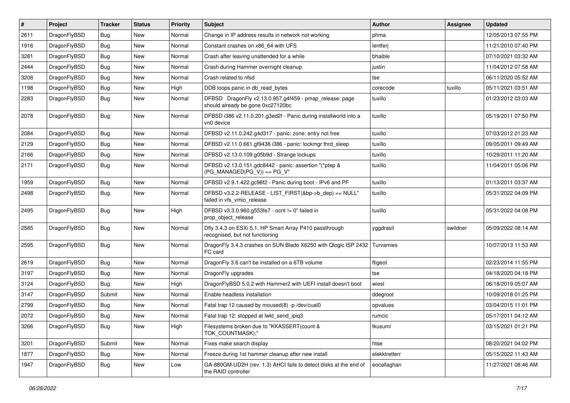| $\vert$ # | Project      | <b>Tracker</b> | <b>Status</b> | <b>Priority</b> | <b>Subject</b>                                                                               | <b>Author</b> | Assignee | <b>Updated</b>      |
|-----------|--------------|----------------|---------------|-----------------|----------------------------------------------------------------------------------------------|---------------|----------|---------------------|
| 2611      | DragonFlyBSD | Bug            | New           | Normal          | Change in IP address results in network not working                                          | phma          |          | 12/05/2013 07:55 PM |
| 1916      | DragonFlyBSD | <b>Bug</b>     | New           | Normal          | Constant crashes on x86_64 with UFS                                                          | lentferj      |          | 11/21/2010 07:40 PM |
| 3281      | DragonFlyBSD | Bug            | New           | Normal          | Crash after leaving unattended for a while                                                   | bhaible       |          | 07/10/2021 03:32 AM |
| 2444      | DragonFlyBSD | Bug            | New           | Normal          | Crash during Hammer overnight cleanup                                                        | justin        |          | 11/04/2012 07:58 AM |
| 3208      | DragonFlyBSD | <b>Bug</b>     | New           | Normal          | Crash related to nfsd                                                                        | tse           |          | 06/11/2020 05:52 AM |
| 1198      | DragonFlyBSD | <b>Bug</b>     | New           | High            | DDB loops panic in db read bytes                                                             | corecode      | tuxillo  | 05/11/2021 03:51 AM |
| 2283      | DragonFlyBSD | Bug            | New           | Normal          | DFBSD DragonFly v2.13.0.957.g4f459 - pmap_release: page<br>should already be gone 0xc27120bc | tuxillo       |          | 01/23/2012 03:03 AM |
| 2078      | DragonFlyBSD | Bug            | New           | Normal          | DFBSD i386 v2.11.0.201.g3ed2f - Panic during installworld into a<br>vn0 device               | tuxillo       |          | 05/19/2011 07:50 PM |
| 2084      | DragonFlyBSD | Bug            | New           | Normal          | DFBSD v2.11.0.242.g4d317 - panic: zone: entry not free                                       | tuxillo       |          | 07/03/2012 01:23 AM |
| 2129      | DragonFlyBSD | Bug            | New           | Normal          | DFBSD v2.11.0.661.gf9438 i386 - panic: lockmgr thrd_sleep                                    | tuxillo       |          | 09/05/2011 09:49 AM |
| 2166      | DragonFlyBSD | <b>Bug</b>     | New           | Normal          | DFBSD v2.13.0.109.g05b9d - Strange lockups                                                   | tuxillo       |          | 10/29/2011 11:20 AM |
| 2171      | DragonFlyBSD | <b>Bug</b>     | New           | Normal          | DFBSD v2.13.0.151.gdc8442 - panic: assertion "(*ptep &<br>$(PG_MANAGED PG_V)) == PG_V"$      | tuxillo       |          | 11/04/2011 05:06 PM |
| 1959      | DragonFlyBSD | Bug            | New           | Normal          | DFBSD v2.9.1.422.gc98f2 - Panic during boot - IPv6 and PF                                    | tuxillo       |          | 01/13/2011 03:37 AM |
| 2498      | DragonFlyBSD | Bug            | New           | Normal          | DFBSD v3.2.2-RELEASE - LIST FIRST(&bp->b dep) == NULL"<br>failed in vfs_vmio_release         | tuxillo       |          | 05/31/2022 04:09 PM |
| 2495      | DragonFlyBSD | <b>Bug</b>     | New           | High            | DFBSD v3.3.0.960.g553fe7 - ocnt != 0" failed in<br>prop_object_release                       | tuxillo       |          | 05/31/2022 04:08 PM |
| 2585      | DragonFlyBSD | Bug            | <b>New</b>    | Normal          | Dfly 3.4.3 on ESXi 5.1, HP Smart Array P410 passthrough<br>recognised, but not functioning   | yggdrasil     | swildner | 05/09/2022 08:14 AM |
| 2595      | DragonFlyBSD | <b>Bug</b>     | New           | Normal          | DragonFly 3.4.3 crashes on SUN Blade X6250 with Qlogic ISP 2432<br>FC card                   | Turvamies     |          | 10/07/2013 11:53 AM |
| 2619      | DragonFlyBSD | <b>Bug</b>     | New           | Normal          | Dragon Fly 3.6 can't be installed on a 6TB volume                                            | ftigeot       |          | 02/23/2014 11:55 PM |
| 3197      | DragonFlyBSD | <b>Bug</b>     | <b>New</b>    | Normal          | DragonFly upgrades                                                                           | tse           |          | 04/18/2020 04:18 PM |
| 3124      | DragonFlyBSD | Bug            | New           | High            | DragonFlyBSD 5.0.2 with Hammer2 with UEFI install doesn't boot                               | wiesl         |          | 06/18/2019 05:07 AM |
| 3147      | DragonFlyBSD | Submit         | New           | Normal          | Enable headless installation                                                                 | ddegroot      |          | 10/09/2018 01:25 PM |
| 2799      | DragonFlyBSD | Bug            | <b>New</b>    | Normal          | Fatal trap 12 caused by moused(8) -p /dev/cual0                                              | opvalues      |          | 03/04/2015 11:01 PM |
| 2072      | DragonFlyBSD | Bug            | New           | Normal          | Fatal trap 12: stopped at lwkt send ipig3                                                    | rumcic        |          | 05/17/2011 04:12 AM |
| 3266      | DragonFlyBSD | Bug            | New           | High            | Filesystems broken due to "KKASSERT(count &<br>TOK COUNTMASK);"                              | tkusumi       |          | 03/15/2021 01:21 PM |
| 3201      | DragonFlyBSD | Submit         | New           | Normal          | Fixes make search display                                                                    | htse          |          | 08/20/2021 04:02 PM |
| 1877      | DragonFlyBSD | Bug            | New           | Normal          | Freeze during 1st hammer cleanup after new install                                           | elekktretterr |          | 05/15/2022 11:43 AM |
| 1947      | DragonFlyBSD | Bug            | New           | Low             | GA-880GM-UD2H (rev. 1.3) AHCI fails to detect disks at the end of<br>the RAID controller     | eocallaghan   |          | 11/27/2021 08:46 AM |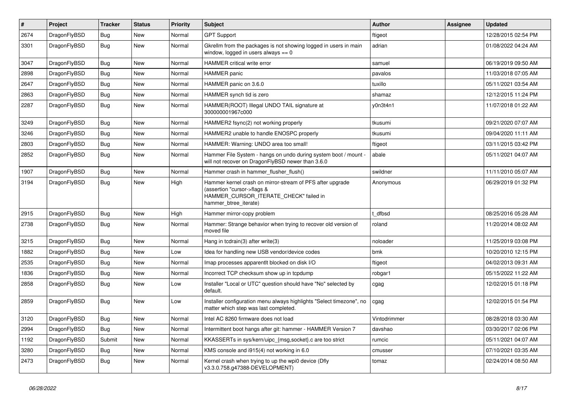| $\pmb{\#}$ | Project      | <b>Tracker</b> | <b>Status</b> | <b>Priority</b> | <b>Subject</b>                                                                                                                                              | <b>Author</b> | Assignee | <b>Updated</b>      |
|------------|--------------|----------------|---------------|-----------------|-------------------------------------------------------------------------------------------------------------------------------------------------------------|---------------|----------|---------------------|
| 2674       | DragonFlyBSD | Bug            | <b>New</b>    | Normal          | <b>GPT Support</b>                                                                                                                                          | ftigeot       |          | 12/28/2015 02:54 PM |
| 3301       | DragonFlyBSD | Bug            | <b>New</b>    | Normal          | Gkrellm from the packages is not showing logged in users in main<br>window, logged in users always $== 0$                                                   | adrian        |          | 01/08/2022 04:24 AM |
| 3047       | DragonFlyBSD | <b>Bug</b>     | <b>New</b>    | Normal          | <b>HAMMER</b> critical write error                                                                                                                          | samuel        |          | 06/19/2019 09:50 AM |
| 2898       | DragonFlyBSD | <b>Bug</b>     | <b>New</b>    | Normal          | HAMMER panic                                                                                                                                                | pavalos       |          | 11/03/2018 07:05 AM |
| 2647       | DragonFlyBSD | <b>Bug</b>     | <b>New</b>    | Normal          | HAMMER panic on 3.6.0                                                                                                                                       | tuxillo       |          | 05/11/2021 03:54 AM |
| 2863       | DragonFlyBSD | Bug            | <b>New</b>    | Normal          | HAMMER synch tid is zero                                                                                                                                    | shamaz        |          | 12/12/2015 11:24 PM |
| 2287       | DragonFlyBSD | Bug            | <b>New</b>    | Normal          | HAMMER(ROOT) Illegal UNDO TAIL signature at<br>300000001967c000                                                                                             | v0n3t4n1      |          | 11/07/2018 01:22 AM |
| 3249       | DragonFlyBSD | Bug            | <b>New</b>    | Normal          | HAMMER2 fsync(2) not working properly                                                                                                                       | tkusumi       |          | 09/21/2020 07:07 AM |
| 3246       | DragonFlyBSD | <b>Bug</b>     | <b>New</b>    | Normal          | HAMMER2 unable to handle ENOSPC properly                                                                                                                    | tkusumi       |          | 09/04/2020 11:11 AM |
| 2803       | DragonFlyBSD | <b>Bug</b>     | <b>New</b>    | Normal          | HAMMER: Warning: UNDO area too small!                                                                                                                       | ftigeot       |          | 03/11/2015 03:42 PM |
| 2852       | DragonFlyBSD | Bug            | <b>New</b>    | Normal          | Hammer File System - hangs on undo during system boot / mount -<br>will not recover on DragonFlyBSD newer than 3.6.0                                        | abale         |          | 05/11/2021 04:07 AM |
| 1907       | DragonFlyBSD | <b>Bug</b>     | <b>New</b>    | Normal          | Hammer crash in hammer_flusher_flush()                                                                                                                      | swildner      |          | 11/11/2010 05:07 AM |
| 3194       | DragonFlyBSD | Bug            | <b>New</b>    | High            | Hammer kernel crash on mirror-stream of PFS after upgrade<br>(assertion "cursor->flags &<br>HAMMER_CURSOR_ITERATE_CHECK" failed in<br>hammer_btree_iterate) | Anonymous     |          | 06/29/2019 01:32 PM |
| 2915       | DragonFlyBSD | Bug            | <b>New</b>    | High            | Hammer mirror-copy problem                                                                                                                                  | dfbsd         |          | 08/25/2016 05:28 AM |
| 2738       | DragonFlyBSD | Bug            | <b>New</b>    | Normal          | Hammer: Strange behavior when trying to recover old version of<br>moved file                                                                                | roland        |          | 11/20/2014 08:02 AM |
| 3215       | DragonFlyBSD | Bug            | <b>New</b>    | Normal          | Hang in tcdrain(3) after write(3)                                                                                                                           | noloader      |          | 11/25/2019 03:08 PM |
| 1882       | DragonFlyBSD | <b>Bug</b>     | <b>New</b>    | Low             | Idea for handling new USB vendor/device codes                                                                                                               | bmk           |          | 10/20/2010 12:15 PM |
| 2535       | DragonFlyBSD | <b>Bug</b>     | <b>New</b>    | Normal          | Imap processes apparentlt blocked on disk I/O                                                                                                               | ftigeot       |          | 04/02/2013 09:31 AM |
| 1836       | DragonFlyBSD | <b>Bug</b>     | <b>New</b>    | Normal          | Incorrect TCP checksum show up in tcpdump                                                                                                                   | robgar1       |          | 05/15/2022 11:22 AM |
| 2858       | DragonFlyBSD | <b>Bug</b>     | <b>New</b>    | Low             | Installer "Local or UTC" question should have "No" selected by<br>default.                                                                                  | cgag          |          | 12/02/2015 01:18 PM |
| 2859       | DragonFlyBSD | Bug            | New           | Low             | Installer configuration menu always highlights "Select timezone", no<br>matter which step was last completed.                                               | cgag          |          | 12/02/2015 01:54 PM |
| 3120       | DragonFlyBSD | Bug            | <b>New</b>    | Normal          | Intel AC 8260 firmware does not load                                                                                                                        | Vintodrimmer  |          | 08/28/2018 03:30 AM |
| 2994       | DragonFlyBSD | Bug            | <b>New</b>    | Normal          | Intermittent boot hangs after git: hammer - HAMMER Version 7                                                                                                | davshao       |          | 03/30/2017 02:06 PM |
| 1192       | DragonFlyBSD | Submit         | New           | Normal          | KKASSERTs in sys/kern/uipc_{msg,socket}.c are too strict                                                                                                    | rumcic        |          | 05/11/2021 04:07 AM |
| 3280       | DragonFlyBSD | Bug            | New           | Normal          | KMS console and i915(4) not working in 6.0                                                                                                                  | cmusser       |          | 07/10/2021 03:35 AM |
| 2473       | DragonFlyBSD | <b>Bug</b>     | <b>New</b>    | Normal          | Kernel crash when trying to up the wpi0 device (Dfly<br>v3.3.0.758.g47388-DEVELOPMENT)                                                                      | tomaz         |          | 02/24/2014 08:50 AM |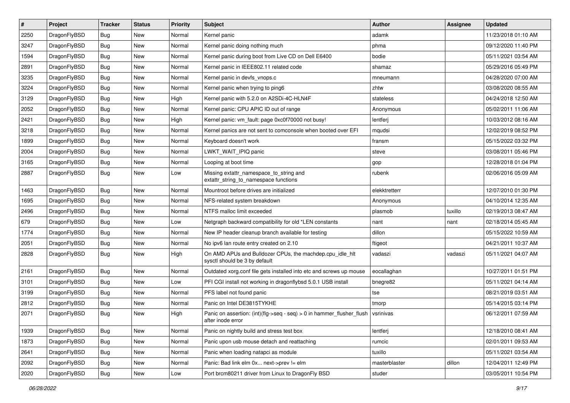| $\sharp$ | Project      | <b>Tracker</b> | <b>Status</b> | <b>Priority</b> | <b>Subject</b>                                                                                | Author        | Assignee | <b>Updated</b>      |
|----------|--------------|----------------|---------------|-----------------|-----------------------------------------------------------------------------------------------|---------------|----------|---------------------|
| 2250     | DragonFlyBSD | Bug            | New           | Normal          | Kernel panic                                                                                  | adamk         |          | 11/23/2018 01:10 AM |
| 3247     | DragonFlyBSD | Bug            | <b>New</b>    | Normal          | Kernel panic doing nothing much                                                               | phma          |          | 09/12/2020 11:40 PM |
| 1594     | DragonFlyBSD | Bug            | New           | Normal          | Kernel panic during boot from Live CD on Dell E6400                                           | bodie         |          | 05/11/2021 03:54 AM |
| 2891     | DragonFlyBSD | Bug            | New           | Normal          | Kernel panic in IEEE802.11 related code                                                       | shamaz        |          | 05/29/2016 05:49 PM |
| 3235     | DragonFlyBSD | Bug            | <b>New</b>    | Normal          | Kernel panic in devfs vnops.c                                                                 | mneumann      |          | 04/28/2020 07:00 AM |
| 3224     | DragonFlyBSD | Bug            | <b>New</b>    | Normal          | Kernel panic when trying to ping6                                                             | zhtw          |          | 03/08/2020 08:55 AM |
| 3129     | DragonFlyBSD | Bug            | New           | High            | Kernel panic with 5.2.0 on A2SDi-4C-HLN4F                                                     | stateless     |          | 04/24/2018 12:50 AM |
| 2052     | DragonFlyBSD | Bug            | New           | Normal          | Kernel panic: CPU APIC ID out of range                                                        | Anonymous     |          | 05/02/2011 11:06 AM |
| 2421     | DragonFlyBSD | Bug            | New           | High            | Kernel panic: vm fault: page 0xc0f70000 not busy!                                             | lentferj      |          | 10/03/2012 08:16 AM |
| 3218     | DragonFlyBSD | Bug            | New           | Normal          | Kernel panics are not sent to comconsole when booted over EFI                                 | mqudsi        |          | 12/02/2019 08:52 PM |
| 1899     | DragonFlyBSD | Bug            | New           | Normal          | Keyboard doesn't work                                                                         | fransm        |          | 05/15/2022 03:32 PM |
| 2004     | DragonFlyBSD | Bug            | <b>New</b>    | Normal          | LWKT WAIT IPIQ panic                                                                          | steve         |          | 03/08/2011 05:46 PM |
| 3165     | DragonFlyBSD | Bug            | New           | Normal          | Looping at boot time                                                                          | gop           |          | 12/28/2018 01:04 PM |
| 2887     | DragonFlyBSD | Bug            | New           | Low             | Missing extattr_namespace_to_string and<br>extattr_string_to_namespace functions              | rubenk        |          | 02/06/2016 05:09 AM |
| 1463     | DragonFlyBSD | Bug            | <b>New</b>    | Normal          | Mountroot before drives are initialized                                                       | elekktretterr |          | 12/07/2010 01:30 PM |
| 1695     | DragonFlyBSD | Bug            | <b>New</b>    | Normal          | NFS-related system breakdown                                                                  | Anonymous     |          | 04/10/2014 12:35 AM |
| 2496     | DragonFlyBSD | Bug            | New           | Normal          | NTFS malloc limit exceeded                                                                    | plasmob       | tuxillo  | 02/19/2013 08:47 AM |
| 679      | DragonFlyBSD | Bug            | New           | Low             | Netgraph backward compatibility for old *LEN constants                                        | nant          | nant     | 02/18/2014 05:45 AM |
| 1774     | DragonFlyBSD | Bug            | <b>New</b>    | Normal          | New IP header cleanup branch available for testing                                            | dillon        |          | 05/15/2022 10:59 AM |
| 2051     | DragonFlyBSD | Bug            | New           | Normal          | No ipv6 lan route entry created on 2.10                                                       | ftigeot       |          | 04/21/2011 10:37 AM |
| 2828     | DragonFlyBSD | Bug            | New           | High            | On AMD APUs and Bulldozer CPUs, the machdep.cpu_idle_hlt<br>sysctl should be 3 by default     | vadaszi       | vadaszi  | 05/11/2021 04:07 AM |
| 2161     | DragonFlyBSD | Bug            | <b>New</b>    | Normal          | Outdated xorg.conf file gets installed into etc and screws up mouse                           | eocallaghan   |          | 10/27/2011 01:51 PM |
| 3101     | DragonFlyBSD | Bug            | New           | Low             | PFI CGI install not working in dragonflybsd 5.0.1 USB install                                 | bnegre82      |          | 05/11/2021 04:14 AM |
| 3199     | DragonFlyBSD | Bug            | New           | Normal          | PFS label not found panic                                                                     | tse           |          | 08/21/2019 03:51 AM |
| 2812     | DragonFlyBSD | Bug            | New           | Normal          | Panic on Intel DE3815TYKHE                                                                    | tmorp         |          | 05/14/2015 03:14 PM |
| 2071     | DragonFlyBSD | Bug            | New           | High            | Panic on assertion: $(int)(flag->seq - seq) > 0$ in hammer flusher flush<br>after inode error | vsrinivas     |          | 06/12/2011 07:59 AM |
| 1939     | DragonFlyBSD | Bug            | <b>New</b>    | Normal          | Panic on nightly build and stress test box                                                    | lentferj      |          | 12/18/2010 08:41 AM |
| 1873     | DragonFlyBSD | Bug            | <b>New</b>    | Normal          | Panic upon usb mouse detach and reattaching                                                   | rumcic        |          | 02/01/2011 09:53 AM |
| 2641     | DragonFlyBSD | <b>Bug</b>     | New           | Normal          | Panic when loading natapci as module                                                          | tuxillo       |          | 05/11/2021 03:54 AM |
| 2092     | DragonFlyBSD | <b>Bug</b>     | New           | Normal          | Panic: Bad link elm 0x next->prev != elm                                                      | masterblaster | dillon   | 12/04/2011 12:49 PM |
| 2020     | DragonFlyBSD | <b>Bug</b>     | New           | Low             | Port brcm80211 driver from Linux to DragonFly BSD                                             | studer        |          | 03/05/2011 10:54 PM |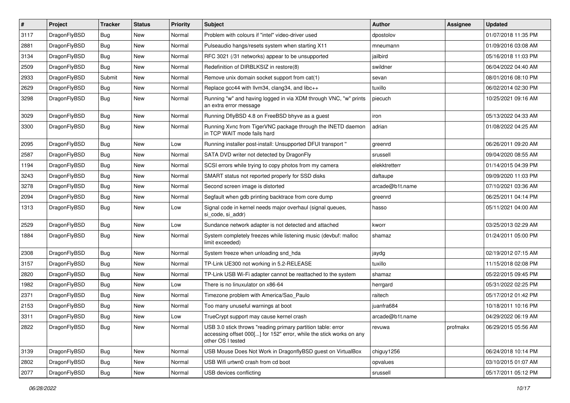| $\sharp$ | Project      | <b>Tracker</b> | <b>Status</b> | <b>Priority</b> | <b>Subject</b>                                                                                                                                           | Author          | Assignee | <b>Updated</b>      |
|----------|--------------|----------------|---------------|-----------------|----------------------------------------------------------------------------------------------------------------------------------------------------------|-----------------|----------|---------------------|
| 3117     | DragonFlyBSD | Bug            | New           | Normal          | Problem with colours if "intel" video-driver used                                                                                                        | dpostolov       |          | 01/07/2018 11:35 PM |
| 2881     | DragonFlyBSD | Bug            | New           | Normal          | Pulseaudio hangs/resets system when starting X11                                                                                                         | mneumann        |          | 01/09/2016 03:08 AM |
| 3134     | DragonFlyBSD | Bug            | New           | Normal          | RFC 3021 (/31 networks) appear to be unsupported                                                                                                         | jailbird        |          | 05/16/2018 11:03 PM |
| 2509     | DragonFlyBSD | Bug            | New           | Normal          | Redefinition of DIRBLKSIZ in restore(8)                                                                                                                  | swildner        |          | 06/04/2022 04:40 AM |
| 2933     | DragonFlyBSD | Submit         | New           | Normal          | Remove unix domain socket support from cat(1)                                                                                                            | sevan           |          | 08/01/2016 08:10 PM |
| 2629     | DragonFlyBSD | Bug            | <b>New</b>    | Normal          | Replace gcc44 with llvm34, clang34, and libc++                                                                                                           | tuxillo         |          | 06/02/2014 02:30 PM |
| 3298     | DragonFlyBSD | Bug            | New           | Normal          | Running "w" and having logged in via XDM through VNC, "w" prints<br>an extra error message                                                               | piecuch         |          | 10/25/2021 09:16 AM |
| 3029     | DragonFlyBSD | Bug            | <b>New</b>    | Normal          | Running DflyBSD 4.8 on FreeBSD bhyve as a guest                                                                                                          | iron            |          | 05/13/2022 04:33 AM |
| 3300     | DragonFlyBSD | Bug            | <b>New</b>    | Normal          | Running Xvnc from TigerVNC package through the INETD daemon<br>in TCP WAIT mode fails hard                                                               | adrian          |          | 01/08/2022 04:25 AM |
| 2095     | DragonFlyBSD | Bug            | <b>New</b>    | Low             | Running installer post-install: Unsupported DFUI transport "                                                                                             | greenrd         |          | 06/26/2011 09:20 AM |
| 2587     | DragonFlyBSD | Bug            | New           | Normal          | SATA DVD writer not detected by DragonFly                                                                                                                | srussell        |          | 09/04/2020 08:55 AM |
| 1194     | DragonFlyBSD | <b>Bug</b>     | New           | Normal          | SCSI errors while trying to copy photos from my camera                                                                                                   | elekktretterr   |          | 01/14/2015 04:39 PM |
| 3243     | DragonFlyBSD | Bug            | New           | Normal          | SMART status not reported properly for SSD disks                                                                                                         | daftaupe        |          | 09/09/2020 11:03 PM |
| 3278     | DragonFlyBSD | <b>Bug</b>     | New           | Normal          | Second screen image is distorted                                                                                                                         | arcade@b1t.name |          | 07/10/2021 03:36 AM |
| 2094     | DragonFlyBSD | <b>Bug</b>     | New           | Normal          | Segfault when gdb printing backtrace from core dump                                                                                                      | greenrd         |          | 06/25/2011 04:14 PM |
| 1313     | DragonFlyBSD | Bug            | New           | Low             | Signal code in kernel needs major overhaul (signal queues,<br>si code, si addr)                                                                          | hasso           |          | 05/11/2021 04:00 AM |
| 2529     | DragonFlyBSD | Bug            | <b>New</b>    | Low             | Sundance network adapter is not detected and attached                                                                                                    | kworr           |          | 03/25/2013 02:29 AM |
| 1884     | DragonFlyBSD | Bug            | New           | Normal          | System completely freezes while listening music (devbuf: malloc<br>limit exceeded)                                                                       | shamaz          |          | 01/24/2011 05:00 PM |
| 2308     | DragonFlyBSD | Bug            | New           | Normal          | System freeze when unloading snd_hda                                                                                                                     | jaydg           |          | 02/19/2012 07:15 AM |
| 3157     | DragonFlyBSD | <b>Bug</b>     | <b>New</b>    | Normal          | TP-Link UE300 not working in 5.2-RELEASE                                                                                                                 | tuxillo         |          | 11/15/2018 02:08 PM |
| 2820     | DragonFlyBSD | <b>Bug</b>     | New           | Normal          | TP-Link USB Wi-Fi adapter cannot be reattached to the system                                                                                             | shamaz          |          | 05/22/2015 09:45 PM |
| 1982     | DragonFlyBSD | Bug            | New           | Low             | There is no linuxulator on x86-64                                                                                                                        | herrgard        |          | 05/31/2022 02:25 PM |
| 2371     | DragonFlyBSD | <b>Bug</b>     | New           | Normal          | Timezone problem with America/Sao Paulo                                                                                                                  | raitech         |          | 05/17/2012 01:42 PM |
| 2153     | DragonFlyBSD | <b>Bug</b>     | <b>New</b>    | Normal          | Too many unuseful warnings at boot                                                                                                                       | juanfra684      |          | 10/18/2011 10:16 PM |
| 3311     | DragonFlyBSD | Bug            | New           | Low             | TrueCrypt support may cause kernel crash                                                                                                                 | arcade@b1t.name |          | 04/29/2022 06:19 AM |
| 2822     | DragonFlyBSD | <b>Bug</b>     | New           | Normal          | USB 3.0 stick throws "reading primary partition table: error<br>accessing offset 000[] for 152" error, while the stick works on any<br>other OS I tested | revuwa          | profmakx | 06/29/2015 05:56 AM |
| 3139     | DragonFlyBSD | <b>Bug</b>     | New           | Normal          | USB Mouse Does Not Work in DragonflyBSD guest on VirtualBox                                                                                              | chiguy1256      |          | 06/24/2018 10:14 PM |
| 2802     | DragonFlyBSD | <b>Bug</b>     | New           | Normal          | USB Wifi urtwn0 crash from cd boot                                                                                                                       | opvalues        |          | 03/10/2015 01:07 AM |
| 2077     | DragonFlyBSD | <b>Bug</b>     | New           | Normal          | USB devices conflicting                                                                                                                                  | srussell        |          | 05/17/2011 05:12 PM |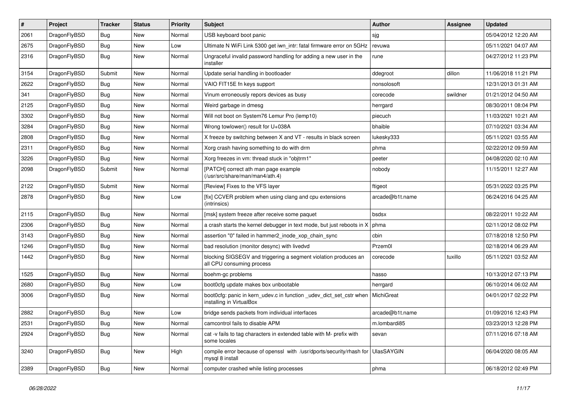| $\pmb{\#}$ | Project      | <b>Tracker</b> | <b>Status</b> | <b>Priority</b> | Subject                                                                                         | Author          | Assignee | <b>Updated</b>      |
|------------|--------------|----------------|---------------|-----------------|-------------------------------------------------------------------------------------------------|-----------------|----------|---------------------|
| 2061       | DragonFlyBSD | Bug            | New           | Normal          | USB keyboard boot panic                                                                         | sjg             |          | 05/04/2012 12:20 AM |
| 2675       | DragonFlyBSD | Bug            | <b>New</b>    | Low             | Ultimate N WiFi Link 5300 get iwn_intr: fatal firmware error on 5GHz                            | revuwa          |          | 05/11/2021 04:07 AM |
| 2316       | DragonFlyBSD | Bug            | New           | Normal          | Ungraceful invalid password handling for adding a new user in the<br>installer                  | rune            |          | 04/27/2012 11:23 PM |
| 3154       | DragonFlyBSD | Submit         | <b>New</b>    | Normal          | Update serial handling in bootloader                                                            | ddegroot        | dillon   | 11/06/2018 11:21 PM |
| 2622       | DragonFlyBSD | Bug            | New           | Normal          | VAIO FIT15E fn keys support                                                                     | nonsolosoft     |          | 12/31/2013 01:31 AM |
| 341        | DragonFlyBSD | Bug            | <b>New</b>    | Normal          | Vinum erroneously repors devices as busy                                                        | corecode        | swildner | 01/21/2012 04:50 AM |
| 2125       | DragonFlyBSD | Bug            | <b>New</b>    | Normal          | Weird garbage in dmesg                                                                          | herrgard        |          | 08/30/2011 08:04 PM |
| 3302       | DragonFlyBSD | Bug            | New           | Normal          | Will not boot on System76 Lemur Pro (lemp10)                                                    | piecuch         |          | 11/03/2021 10:21 AM |
| 3284       | DragonFlyBSD | Bug            | New           | Normal          | Wrong towlower() result for U+038A                                                              | bhaible         |          | 07/10/2021 03:34 AM |
| 2808       | DragonFlyBSD | Bug            | New           | Normal          | X freeze by switching between X and VT - results in black screen                                | lukesky333      |          | 05/11/2021 03:55 AM |
| 2311       | DragonFlyBSD | Bug            | New           | Normal          | Xorg crash having something to do with drm                                                      | phma            |          | 02/22/2012 09:59 AM |
| 3226       | DragonFlyBSD | Bug            | <b>New</b>    | Normal          | Xorg freezes in vm: thread stuck in "objtrm1"                                                   | peeter          |          | 04/08/2020 02:10 AM |
| 2098       | DragonFlyBSD | Submit         | New           | Normal          | [PATCH] correct ath man page example<br>(/usr/src/share/man/man4/ath.4)                         | nobody          |          | 11/15/2011 12:27 AM |
| 2122       | DragonFlyBSD | Submit         | <b>New</b>    | Normal          | [Review] Fixes to the VFS layer                                                                 | ftigeot         |          | 05/31/2022 03:25 PM |
| 2878       | DragonFlyBSD | Bug            | New           | Low             | [fix] CCVER problem when using clang and cpu extensions<br>(intrinsics)                         | arcade@b1t.name |          | 06/24/2016 04:25 AM |
| 2115       | DragonFlyBSD | <b>Bug</b>     | <b>New</b>    | Normal          | [msk] system freeze after receive some paquet                                                   | bsdsx           |          | 08/22/2011 10:22 AM |
| 2306       | DragonFlyBSD | Bug            | <b>New</b>    | Normal          | a crash starts the kernel debugger in text mode, but just reboots in X                          | phma            |          | 02/11/2012 08:02 PM |
| 3143       | DragonFlyBSD | Bug            | <b>New</b>    | Normal          | assertion "0" failed in hammer2_inode_xop_chain_sync                                            | cbin            |          | 07/18/2018 12:50 PM |
| 1246       | DragonFlyBSD | Bug            | New           | Normal          | bad resolution (monitor desync) with livedvd                                                    | Przem0l         |          | 02/18/2014 06:29 AM |
| 1442       | DragonFlyBSD | Bug            | New           | Normal          | blocking SIGSEGV and triggering a segment violation produces an<br>all CPU consuming process    | corecode        | tuxillo  | 05/11/2021 03:52 AM |
| 1525       | DragonFlyBSD | Bug            | <b>New</b>    | Normal          | boehm-gc problems                                                                               | hasso           |          | 10/13/2012 07:13 PM |
| 2680       | DragonFlyBSD | <b>Bug</b>     | <b>New</b>    | Low             | boot0cfg update makes box unbootable                                                            | herrgard        |          | 06/10/2014 06:02 AM |
| 3006       | DragonFlyBSD | Bug            | <b>New</b>    | Normal          | boot0cfg: panic in kern_udev.c in function _udev_dict_set_cstr when<br>installing in VirtualBox | MichiGreat      |          | 04/01/2017 02:22 PM |
| 2882       | DragonFlyBSD | <b>Bug</b>     | New           | Low             | bridge sends packets from individual interfaces                                                 | arcade@b1t.name |          | 01/09/2016 12:43 PM |
| 2531       | DragonFlyBSD | Bug            | New           | Normal          | camcontrol fails to disable APM                                                                 | m.lombardi85    |          | 03/23/2013 12:28 PM |
| 2924       | DragonFlyBSD | <b>Bug</b>     | New           | Normal          | cat -v fails to tag characters in extended table with M- prefix with<br>some locales            | sevan           |          | 07/11/2016 07:18 AM |
| 3240       | DragonFlyBSD | Bug            | New           | High            | compile error because of openssl with /usr/dports/security/rhash for<br>mysql 8 install         | UlasSAYGIN      |          | 06/04/2020 08:05 AM |
| 2389       | DragonFlyBSD | <b>Bug</b>     | New           | Normal          | computer crashed while listing processes                                                        | phma            |          | 06/18/2012 02:49 PM |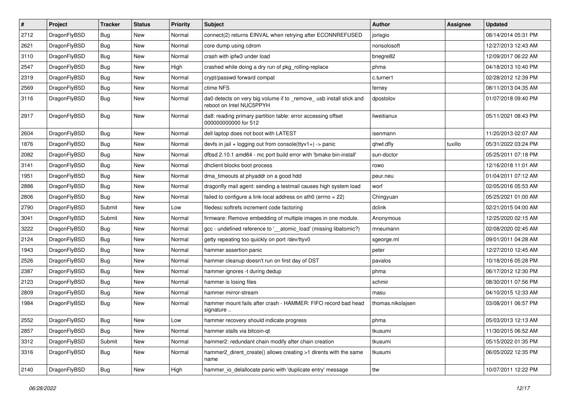| $\sharp$ | Project      | <b>Tracker</b> | <b>Status</b> | <b>Priority</b> | <b>Subject</b>                                                                                  | Author            | Assignee | <b>Updated</b>      |
|----------|--------------|----------------|---------------|-----------------|-------------------------------------------------------------------------------------------------|-------------------|----------|---------------------|
| 2712     | DragonFlyBSD | <b>Bug</b>     | New           | Normal          | connect(2) returns EINVAL when retrying after ECONNREFUSED                                      | jorisgio          |          | 08/14/2014 05:31 PM |
| 2621     | DragonFlyBSD | Bug            | New           | Normal          | core dump using cdrom                                                                           | nonsolosoft       |          | 12/27/2013 12:43 AM |
| 3110     | DragonFlyBSD | <b>Bug</b>     | New           | Normal          | crash with ipfw3 under load                                                                     | bnegre82          |          | 12/09/2017 06:22 AM |
| 2547     | DragonFlyBSD | <b>Bug</b>     | New           | High            | crashed while doing a dry run of pkg rolling-replace                                            | phma              |          | 04/18/2013 10:40 PM |
| 2319     | DragonFlyBSD | Bug            | <b>New</b>    | Normal          | crypt/passwd forward compat                                                                     | c.turner1         |          | 02/28/2012 12:39 PM |
| 2569     | DragonFlyBSD | <b>Bug</b>     | <b>New</b>    | Normal          | ctime NFS                                                                                       | ferney            |          | 08/11/2013 04:35 AM |
| 3116     | DragonFlyBSD | Bug            | New           | Normal          | da0 detects on very big volume if to _remove_ usb install stick and<br>reboot on Intel NUC5PPYH | dpostolov         |          | 01/07/2018 09:40 PM |
| 2917     | DragonFlyBSD | Bug            | New           | Normal          | da8: reading primary partition table: error accessing offset<br>000000000000 for 512            | liweitianux       |          | 05/11/2021 08:43 PM |
| 2604     | DragonFlyBSD | Bug            | <b>New</b>    | Normal          | dell laptop does not boot with LATEST                                                           | isenmann          |          | 11/20/2013 02:07 AM |
| 1876     | DragonFlyBSD | <b>Bug</b>     | <b>New</b>    | Normal          | devfs in jail + logging out from console(ttyv1+) -> panic                                       | qhwt.dfly         | tuxillo  | 05/31/2022 03:24 PM |
| 2082     | DragonFlyBSD | Bug            | New           | Normal          | dfbsd 2.10.1 amd64 - mc port build error with 'bmake bin-install'                               | sun-doctor        |          | 05/25/2011 07:18 PM |
| 3141     | DragonFlyBSD | <b>Bug</b>     | New           | Normal          | dhclient blocks boot process                                                                    | rowo              |          | 12/16/2018 11:01 AM |
| 1951     | DragonFlyBSD | <b>Bug</b>     | New           | Normal          | dma_timeouts at phyaddr on a good hdd                                                           | peur.neu          |          | 01/04/2011 07:12 AM |
| 2886     | DragonFlyBSD | <b>Bug</b>     | <b>New</b>    | Normal          | dragonfly mail agent: sending a testmail causes high system load                                | worf              |          | 02/05/2016 05:53 AM |
| 2806     | DragonFlyBSD | <b>Bug</b>     | New           | Normal          | failed to configure a link-local address on ath0 (errno = 22)                                   | Chingyuan         |          | 05/25/2021 01:00 AM |
| 2790     | DragonFlyBSD | Submit         | <b>New</b>    | Low             | filedesc softrefs increment code factoring                                                      | dclink            |          | 02/21/2015 04:00 AM |
| 3041     | DragonFlyBSD | Submit         | New           | Normal          | firmware: Remove embedding of multiple images in one module.                                    | Anonymous         |          | 12/25/2020 02:15 AM |
| 3222     | DragonFlyBSD | Bug            | New           | Normal          | gcc - undefined reference to '__atomic_load' (missing libatomic?)                               | mneumann          |          | 02/08/2020 02:45 AM |
| 2124     | DragonFlyBSD | <b>Bug</b>     | New           | Normal          | getty repeating too quickly on port /dev/ttyv0                                                  | sgeorge.ml        |          | 09/01/2011 04:28 AM |
| 1943     | DragonFlyBSD | <b>Bug</b>     | New           | Normal          | hammer assertion panic                                                                          | peter             |          | 12/27/2010 12:45 AM |
| 2526     | DragonFlyBSD | Bug            | New           | Normal          | hammer cleanup doesn't run on first day of DST                                                  | pavalos           |          | 10/18/2016 05:28 PM |
| 2387     | DragonFlyBSD | <b>Bug</b>     | New           | Normal          | hammer ignores -t during dedup                                                                  | phma              |          | 06/17/2012 12:30 PM |
| 2123     | DragonFlyBSD | <b>Bug</b>     | New           | Normal          | hammer is losing files                                                                          | schmir            |          | 08/30/2011 07:56 PM |
| 2809     | DragonFlyBSD | <b>Bug</b>     | New           | Normal          | hammer mirror-stream                                                                            | masu              |          | 04/10/2015 12:33 AM |
| 1984     | DragonFlyBSD | <b>Bug</b>     | <b>New</b>    | Normal          | hammer mount fails after crash - HAMMER: FIFO record bad head<br>signature                      | thomas.nikolajsen |          | 03/08/2011 06:57 PM |
| 2552     | DragonFlyBSD | Bug            | <b>New</b>    | Low             | hammer recovery should indicate progress                                                        | phma              |          | 05/03/2013 12:13 AM |
| 2857     | DragonFlyBSD | Bug            | <b>New</b>    | Normal          | hammer stalls via bitcoin-qt                                                                    | tkusumi           |          | 11/30/2015 06:52 AM |
| 3312     | DragonFlyBSD | Submit         | New           | Normal          | hammer2: redundant chain modify after chain creation                                            | tkusumi           |          | 05/15/2022 01:35 PM |
| 3316     | DragonFlyBSD | <b>Bug</b>     | New           | Normal          | hammer2 dirent create() allows creating >1 dirents with the same<br>name                        | tkusumi           |          | 06/05/2022 12:35 PM |
| 2140     | DragonFlyBSD | Bug            | New           | High            | hammer_io_delallocate panic with 'duplicate entry' message                                      | ttw               |          | 10/07/2011 12:22 PM |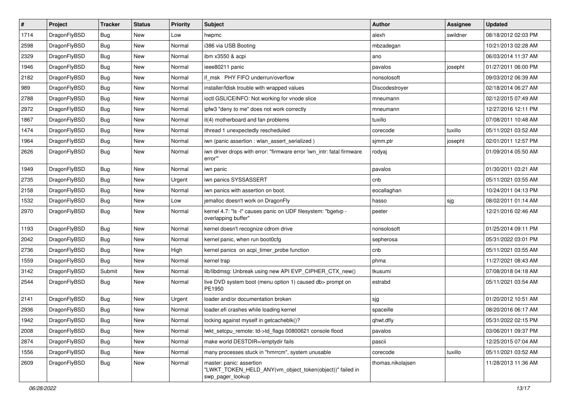| $\vert$ # | Project      | <b>Tracker</b> | <b>Status</b> | <b>Priority</b> | <b>Subject</b>                                                                                           | Author            | Assignee | <b>Updated</b>      |
|-----------|--------------|----------------|---------------|-----------------|----------------------------------------------------------------------------------------------------------|-------------------|----------|---------------------|
| 1714      | DragonFlyBSD | Bug            | <b>New</b>    | Low             | hwpmc                                                                                                    | alexh             | swildner | 08/18/2012 02:03 PM |
| 2598      | DragonFlyBSD | <b>Bug</b>     | <b>New</b>    | Normal          | i386 via USB Booting                                                                                     | mbzadegan         |          | 10/21/2013 02:28 AM |
| 2329      | DragonFlyBSD | <b>Bug</b>     | <b>New</b>    | Normal          | ibm x3550 & acpi                                                                                         | ano               |          | 06/03/2014 11:37 AM |
| 1946      | DragonFlyBSD | Bug            | <b>New</b>    | Normal          | ieee80211 panic                                                                                          | pavalos           | josepht  | 01/27/2011 06:00 PM |
| 2182      | DragonFlyBSD | Bug            | <b>New</b>    | Normal          | if msk PHY FIFO underrun/overflow                                                                        | nonsolosoft       |          | 09/03/2012 06:39 AM |
| 989       | DragonFlyBSD | <b>Bug</b>     | New           | Normal          | installer/fdisk trouble with wrapped values                                                              | Discodestroyer    |          | 02/18/2014 06:27 AM |
| 2788      | DragonFlyBSD | Bug            | <b>New</b>    | Normal          | ioctl GSLICEINFO: Not working for vnode slice                                                            | mneumann          |          | 02/12/2015 07:49 AM |
| 2972      | DragonFlyBSD | <b>Bug</b>     | <b>New</b>    | Normal          | ipfw3 "deny to me" does not work correctly                                                               | mneumann          |          | 12/27/2016 12:11 PM |
| 1867      | DragonFlyBSD | <b>Bug</b>     | <b>New</b>    | Normal          | it(4) motherboard and fan problems                                                                       | tuxillo           |          | 07/08/2011 10:48 AM |
| 1474      | DragonFlyBSD | <b>Bug</b>     | <b>New</b>    | Normal          | ithread 1 unexpectedly rescheduled                                                                       | corecode          | tuxillo  | 05/11/2021 03:52 AM |
| 1964      | DragonFlyBSD | <b>Bug</b>     | <b>New</b>    | Normal          | iwn (panic assertion : wlan assert serialized)                                                           | sjmm.ptr          | josepht  | 02/01/2011 12:57 PM |
| 2626      | DragonFlyBSD | Bug            | <b>New</b>    | Normal          | iwn driver drops with error: "firmware error 'iwn_intr: fatal firmware<br>error""                        | rodyaj            |          | 01/09/2014 05:50 AM |
| 1949      | DragonFlyBSD | Bug            | <b>New</b>    | Normal          | iwn panic                                                                                                | pavalos           |          | 01/30/2011 03:21 AM |
| 2735      | DragonFlyBSD | <b>Bug</b>     | <b>New</b>    | Urgent          | iwn panics SYSSASSERT                                                                                    | cnb               |          | 05/11/2021 03:55 AM |
| 2158      | DragonFlyBSD | <b>Bug</b>     | <b>New</b>    | Normal          | iwn panics with assertion on boot.                                                                       | eocallaghan       |          | 10/24/2011 04:13 PM |
| 1532      | DragonFlyBSD | Bug            | New           | Low             | jemalloc doesn't work on DragonFly                                                                       | hasso             | sjg      | 08/02/2011 01:14 AM |
| 2970      | DragonFlyBSD | Bug            | <b>New</b>    | Normal          | kernel 4.7: "Is -I" causes panic on UDF filesystem: "bgetvp -<br>overlapping buffer"                     | peeter            |          | 12/21/2016 02:46 AM |
| 1193      | DragonFlyBSD | Bug            | <b>New</b>    | Normal          | kernel doesn't recognize cdrom drive                                                                     | nonsolosoft       |          | 01/25/2014 09:11 PM |
| 2042      | DragonFlyBSD | Bug            | <b>New</b>    | Normal          | kernel panic, when run boot0cfg                                                                          | sepherosa         |          | 05/31/2022 03:01 PM |
| 2736      | DragonFlyBSD | Bug            | <b>New</b>    | High            | kernel panics on acpi_timer_probe function                                                               | cnb               |          | 05/11/2021 03:55 AM |
| 1559      | DragonFlyBSD | Bug            | <b>New</b>    | Normal          | kernel trap                                                                                              | phma              |          | 11/27/2021 08:43 AM |
| 3142      | DragonFlyBSD | Submit         | <b>New</b>    | Normal          | lib/libdmsg: Unbreak using new API EVP_CIPHER_CTX_new()                                                  | tkusumi           |          | 07/08/2018 04:18 AM |
| 2544      | DragonFlyBSD | Bug            | <b>New</b>    | Normal          | live DVD system boot (menu option 1) caused db> prompt on<br>PE1950                                      | estrabd           |          | 05/11/2021 03:54 AM |
| 2141      | DragonFlyBSD | Bug            | <b>New</b>    | Urgent          | loader and/or documentation broken                                                                       | sjg               |          | 01/20/2012 10:51 AM |
| 2936      | DragonFlyBSD | Bug            | <b>New</b>    | Normal          | loader.efi crashes while loading kernel                                                                  | spaceille         |          | 08/20/2016 06:17 AM |
| 1942      | DragonFlyBSD | Bug            | New           | Normal          | locking against myself in getcacheblk()?                                                                 | qhwt.dfly         |          | 05/31/2022 02:15 PM |
| 2008      | DragonFlyBSD | <b>Bug</b>     | <b>New</b>    | Normal          | lwkt_setcpu_remote: td->td_flags 00800621 console flood                                                  | pavalos           |          | 03/06/2011 09:37 PM |
| 2874      | DragonFlyBSD | Bug            | New           | Normal          | make world DESTDIR=/emptydir fails                                                                       | pascii            |          | 12/25/2015 07:04 AM |
| 1556      | DragonFlyBSD | <b>Bug</b>     | New           | Normal          | many processes stuck in "hmrrcm", system unusable                                                        | corecode          | tuxillo  | 05/11/2021 03:52 AM |
| 2609      | DragonFlyBSD | Bug            | New           | Normal          | master: panic: assertion<br>"LWKT_TOKEN_HELD_ANY(vm_object_token(object))" failed in<br>swp pager lookup | thomas.nikolajsen |          | 11/28/2013 11:36 AM |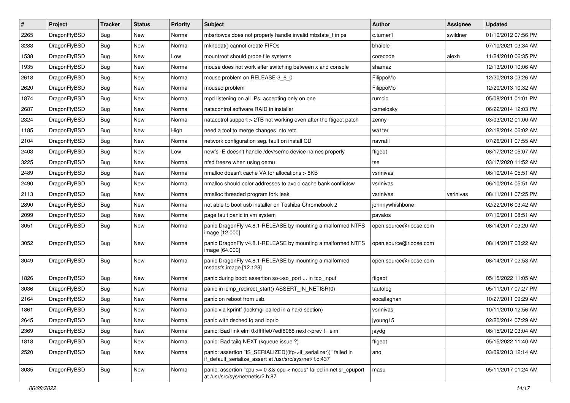| $\#$ | Project      | <b>Tracker</b> | <b>Status</b> | <b>Priority</b> | Subject                                                                                                                      | <b>Author</b>          | Assignee  | <b>Updated</b>      |
|------|--------------|----------------|---------------|-----------------|------------------------------------------------------------------------------------------------------------------------------|------------------------|-----------|---------------------|
| 2265 | DragonFlyBSD | Bug            | New           | Normal          | mbsrtowcs does not properly handle invalid mbstate_t in ps                                                                   | c.turner1              | swildner  | 01/10/2012 07:56 PM |
| 3283 | DragonFlyBSD | Bug            | <b>New</b>    | Normal          | mknodat() cannot create FIFOs                                                                                                | bhaible                |           | 07/10/2021 03:34 AM |
| 1538 | DragonFlyBSD | <b>Bug</b>     | New           | Low             | mountroot should probe file systems                                                                                          | corecode               | alexh     | 11/24/2010 06:35 PM |
| 1935 | DragonFlyBSD | <b>Bug</b>     | New           | Normal          | mouse does not work after switching between x and console                                                                    | shamaz                 |           | 12/13/2010 10:06 AM |
| 2618 | DragonFlyBSD | Bug            | <b>New</b>    | Normal          | mouse problem on RELEASE-3_6_0                                                                                               | FilippoMo              |           | 12/20/2013 03:26 AM |
| 2620 | DragonFlyBSD | <b>Bug</b>     | New           | Normal          | moused problem                                                                                                               | FilippoMo              |           | 12/20/2013 10:32 AM |
| 1874 | DragonFlyBSD | <b>Bug</b>     | New           | Normal          | mpd listening on all IPs, accepting only on one                                                                              | rumcic                 |           | 05/08/2011 01:01 PM |
| 2687 | DragonFlyBSD | <b>Bug</b>     | New           | Normal          | natacontrol software RAID in installer                                                                                       | csmelosky              |           | 06/22/2014 12:03 PM |
| 2324 | DragonFlyBSD | <b>Bug</b>     | New           | Normal          | natacotrol support > 2TB not working even after the ftigeot patch                                                            | zenny                  |           | 03/03/2012 01:00 AM |
| 1185 | DragonFlyBSD | <b>Bug</b>     | <b>New</b>    | High            | need a tool to merge changes into /etc                                                                                       | wa1ter                 |           | 02/18/2014 06:02 AM |
| 2104 | DragonFlyBSD | <b>Bug</b>     | New           | Normal          | network configuration seg. fault on install CD                                                                               | navratil               |           | 07/26/2011 07:55 AM |
| 2403 | DragonFlyBSD | <b>Bug</b>     | <b>New</b>    | Low             | newfs -E doesn't handle /dev/serno device names properly                                                                     | ftigeot                |           | 08/17/2012 05:07 AM |
| 3225 | DragonFlyBSD | <b>Bug</b>     | New           | Normal          | nfsd freeze when using gemu                                                                                                  | tse                    |           | 03/17/2020 11:52 AM |
| 2489 | DragonFlyBSD | <b>Bug</b>     | New           | Normal          | nmalloc doesn't cache VA for allocations > 8KB                                                                               | vsrinivas              |           | 06/10/2014 05:51 AM |
| 2490 | DragonFlyBSD | <b>Bug</b>     | <b>New</b>    | Normal          | nmalloc should color addresses to avoid cache bank conflictsw                                                                | vsrinivas              |           | 06/10/2014 05:51 AM |
| 2113 | DragonFlyBSD | <b>Bug</b>     | <b>New</b>    | Normal          | nmalloc threaded program fork leak                                                                                           | vsrinivas              | vsrinivas | 08/11/2011 07:25 PM |
| 2890 | DragonFlyBSD | <b>Bug</b>     | New           | Normal          | not able to boot usb installer on Toshiba Chromebook 2                                                                       | johnnywhishbone        |           | 02/22/2016 03:42 AM |
| 2099 | DragonFlyBSD | <b>Bug</b>     | <b>New</b>    | Normal          | page fault panic in vm system                                                                                                | pavalos                |           | 07/10/2011 08:51 AM |
| 3051 | DragonFlyBSD | <b>Bug</b>     | New           | Normal          | panic DragonFly v4.8.1-RELEASE by mounting a malformed NTFS<br>image [12.000]                                                | open.source@ribose.com |           | 08/14/2017 03:20 AM |
| 3052 | DragonFlyBSD | <b>Bug</b>     | New           | Normal          | panic DragonFly v4.8.1-RELEASE by mounting a malformed NTFS<br>image [64.000]                                                | open.source@ribose.com |           | 08/14/2017 03:22 AM |
| 3049 | DragonFlyBSD | <b>Bug</b>     | New           | Normal          | panic DragonFly v4.8.1-RELEASE by mounting a malformed<br>msdosfs image [12.128]                                             | open.source@ribose.com |           | 08/14/2017 02:53 AM |
| 1826 | DragonFlyBSD | <b>Bug</b>     | New           | Normal          | panic during boot: assertion so->so_port  in tcp_input                                                                       | ftigeot                |           | 05/15/2022 11:05 AM |
| 3036 | DragonFlyBSD | <b>Bug</b>     | <b>New</b>    | Normal          | panic in icmp_redirect_start() ASSERT_IN_NETISR(0)                                                                           | tautolog               |           | 05/11/2017 07:27 PM |
| 2164 | DragonFlyBSD | <b>Bug</b>     | New           | Normal          | panic on reboot from usb.                                                                                                    | eocallaghan            |           | 10/27/2011 09:29 AM |
| 1861 | DragonFlyBSD | <b>Bug</b>     | New           | Normal          | panic via kprintf (lockmgr called in a hard section)                                                                         | vsrinivas              |           | 10/11/2010 12:56 AM |
| 2645 | DragonFlyBSD | Bug            | New           | Normal          | panic with dsched fq and ioprio                                                                                              | jyoung 15              |           | 02/20/2014 07:29 AM |
| 2369 | DragonFlyBSD | <b>Bug</b>     | New           | Normal          | panic: Bad link elm 0xffffffe07edf6068 next->prev != elm                                                                     | jaydg                  |           | 08/15/2012 03:04 AM |
| 1818 | DragonFlyBSD | <b>Bug</b>     | New           | Normal          | panic: Bad tailq NEXT (kqueue issue ?)                                                                                       | ftigeot                |           | 05/15/2022 11:40 AM |
| 2520 | DragonFlyBSD | <b>Bug</b>     | New           | Normal          | panic: assertion "IS_SERIALIZED((ifp->if_serializer))" failed in<br>if_default_serialize_assert at /usr/src/sys/net/if.c:437 | ano                    |           | 03/09/2013 12:14 AM |
| 3035 | DragonFlyBSD | <b>Bug</b>     | <b>New</b>    | Normal          | panic: assertion "cpu >= 0 && cpu < ncpus" failed in netisr_cpuport<br>at /usr/src/sys/net/netisr2.h:87                      | masu                   |           | 05/11/2017 01:24 AM |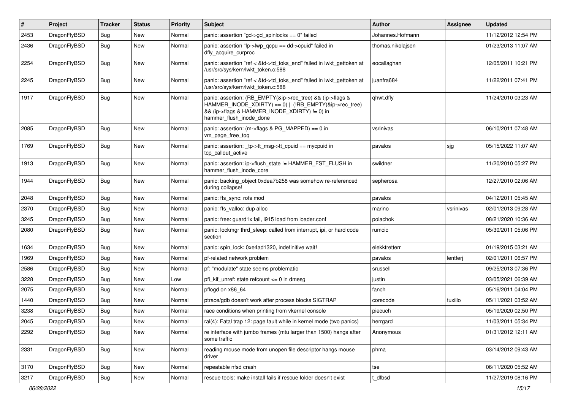| #    | Project      | <b>Tracker</b> | <b>Status</b> | <b>Priority</b> | <b>Subject</b>                                                                                                                                                                                    | <b>Author</b>     | <b>Assignee</b> | Updated             |
|------|--------------|----------------|---------------|-----------------|---------------------------------------------------------------------------------------------------------------------------------------------------------------------------------------------------|-------------------|-----------------|---------------------|
| 2453 | DragonFlyBSD | <b>Bug</b>     | <b>New</b>    | Normal          | panic: assertion "gd->gd spinlocks == $0$ " failed                                                                                                                                                | Johannes.Hofmann  |                 | 11/12/2012 12:54 PM |
| 2436 | DragonFlyBSD | <b>Bug</b>     | <b>New</b>    | Normal          | panic: assertion "lp->lwp_qcpu == dd->cpuid" failed in<br>dfly_acquire_curproc                                                                                                                    | thomas.nikolajsen |                 | 01/23/2013 11:07 AM |
| 2254 | DragonFlyBSD | Bug            | New           | Normal          | panic: assertion "ref < &td->td_toks_end" failed in lwkt_gettoken at<br>/usr/src/sys/kern/lwkt_token.c:588                                                                                        | eocallaghan       |                 | 12/05/2011 10:21 PM |
| 2245 | DragonFlyBSD | <b>Bug</b>     | New           | Normal          | panic: assertion "ref < &td->td toks end" failed in lwkt gettoken at<br>/usr/src/sys/kern/lwkt_token.c:588                                                                                        | juanfra684        |                 | 11/22/2011 07:41 PM |
| 1917 | DragonFlyBSD | Bug            | <b>New</b>    | Normal          | panic: assertion: (RB EMPTY(&ip->rec tree) && (ip->flags &<br>HAMMER INODE XDIRTY) == 0)    (!RB EMPTY(&ip->rec tree)<br>&& (ip->flags & HAMMER_INODE_XDIRTY) != 0) in<br>hammer_flush_inode_done | qhwt.dfly         |                 | 11/24/2010 03:23 AM |
| 2085 | DragonFlyBSD | <b>Bug</b>     | <b>New</b>    | Normal          | panic: assertion: (m->flags & PG_MAPPED) == 0 in<br>vm_page_free_toq                                                                                                                              | vsrinivas         |                 | 06/10/2011 07:48 AM |
| 1769 | DragonFlyBSD | <b>Bug</b>     | <b>New</b>    | Normal          | panic: assertion: _tp->tt_msg->tt_cpuid == mycpuid in<br>tcp callout active                                                                                                                       | pavalos           | sjg             | 05/15/2022 11:07 AM |
| 1913 | DragonFlyBSD | <b>Bug</b>     | New           | Normal          | panic: assertion: ip->flush_state != HAMMER_FST_FLUSH in<br>hammer flush inode core                                                                                                               | swildner          |                 | 11/20/2010 05:27 PM |
| 1944 | DragonFlyBSD | Bug            | New           | Normal          | panic: backing object 0xdea7b258 was somehow re-referenced<br>during collapse!                                                                                                                    | sepherosa         |                 | 12/27/2010 02:06 AM |
| 2048 | DragonFlyBSD | <b>Bug</b>     | New           | Normal          | panic: ffs sync: rofs mod                                                                                                                                                                         | pavalos           |                 | 04/12/2011 05:45 AM |
| 2370 | DragonFlyBSD | <b>Bug</b>     | New           | Normal          | panic: ffs valloc: dup alloc                                                                                                                                                                      | marino            | vsrinivas       | 02/01/2013 09:28 AM |
| 3245 | DragonFlyBSD | <b>Bug</b>     | New           | Normal          | panic: free: guard1x fail, i915 load from loader.conf                                                                                                                                             | polachok          |                 | 08/21/2020 10:36 AM |
| 2080 | DragonFlyBSD | <b>Bug</b>     | New           | Normal          | panic: lockmgr thrd sleep: called from interrupt, ipi, or hard code<br>section                                                                                                                    | rumcic            |                 | 05/30/2011 05:06 PM |
| 1634 | DragonFlyBSD | <b>Bug</b>     | <b>New</b>    | Normal          | panic: spin lock: 0xe4ad1320, indefinitive wait!                                                                                                                                                  | elekktretterr     |                 | 01/19/2015 03:21 AM |
| 1969 | DragonFlyBSD | <b>Bug</b>     | <b>New</b>    | Normal          | pf-related network problem                                                                                                                                                                        | pavalos           | lentferj        | 02/01/2011 06:57 PM |
| 2586 | DragonFlyBSD | <b>Bug</b>     | New           | Normal          | pf: "modulate" state seems problematic                                                                                                                                                            | srussell          |                 | 09/25/2013 07:36 PM |
| 3228 | DragonFlyBSD | <b>Bug</b>     | New           | Low             | pfi kif unref: state refcount $\leq$ 0 in dmesg                                                                                                                                                   | justin            |                 | 03/05/2021 06:39 AM |
| 2075 | DragonFlyBSD | <b>Bug</b>     | New           | Normal          | pflogd on x86 64                                                                                                                                                                                  | fanch             |                 | 05/16/2011 04:04 PM |
| 1440 | DragonFlyBSD | Bug            | New           | Normal          | ptrace/gdb doesn't work after process blocks SIGTRAP                                                                                                                                              | corecode          | tuxillo         | 05/11/2021 03:52 AM |
| 3238 | DragonFlyBSD | <b>Bug</b>     | New           | Normal          | race conditions when printing from vkernel console                                                                                                                                                | piecuch           |                 | 05/19/2020 02:50 PM |
| 2045 | DragonFlyBSD | Bug            | New           | Normal          | ral(4): Fatal trap 12: page fault while in kernel mode (two panics)                                                                                                                               | herrgard          |                 | 11/03/2011 05:34 PM |
| 2292 | DragonFlyBSD | Bug            | New           | Normal          | re interface with jumbo frames (mtu larger than 1500) hangs after<br>some traffic                                                                                                                 | Anonymous         |                 | 01/31/2012 12:11 AM |
| 2331 | DragonFlyBSD | Bug            | New           | Normal          | reading mouse mode from unopen file descriptor hangs mouse<br>driver                                                                                                                              | phma              |                 | 03/14/2012 09:43 AM |
| 3170 | DragonFlyBSD | Bug            | <b>New</b>    | Normal          | repeatable nfsd crash                                                                                                                                                                             | tse               |                 | 06/11/2020 05:52 AM |
| 3217 | DragonFlyBSD | Bug            | New           | Normal          | rescue tools: make install fails if rescue folder doesn't exist                                                                                                                                   | t_dfbsd           |                 | 11/27/2019 08:16 PM |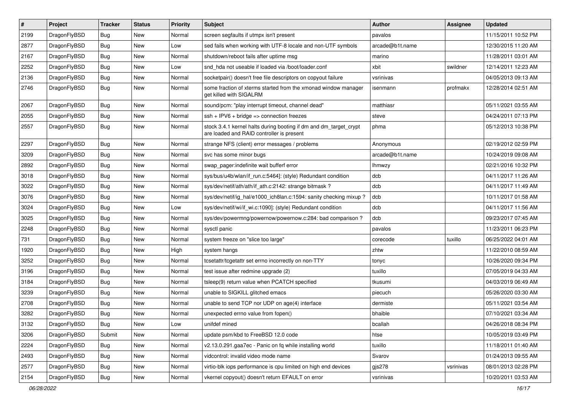| $\sharp$ | Project      | <b>Tracker</b> | <b>Status</b> | <b>Priority</b> | Subject                                                                                                        | <b>Author</b>   | Assignee  | <b>Updated</b>      |
|----------|--------------|----------------|---------------|-----------------|----------------------------------------------------------------------------------------------------------------|-----------------|-----------|---------------------|
| 2199     | DragonFlyBSD | <b>Bug</b>     | New           | Normal          | screen segfaults if utmpx isn't present                                                                        | pavalos         |           | 11/15/2011 10:52 PM |
| 2877     | DragonFlyBSD | <b>Bug</b>     | <b>New</b>    | Low             | sed fails when working with UTF-8 locale and non-UTF symbols                                                   | arcade@b1t.name |           | 12/30/2015 11:20 AM |
| 2167     | DragonFlyBSD | <b>Bug</b>     | New           | Normal          | shutdown/reboot fails after uptime msg                                                                         | marino          |           | 11/28/2011 03:01 AM |
| 2252     | DragonFlyBSD | <b>Bug</b>     | New           | Low             | snd hda not useable if loaded via /boot/loader.conf                                                            | xbit            | swildner  | 12/14/2011 12:23 AM |
| 2136     | DragonFlyBSD | <b>Bug</b>     | <b>New</b>    | Normal          | socketpair() doesn't free file descriptors on copyout failure                                                  | vsrinivas       |           | 04/05/2013 09:13 AM |
| 2746     | DragonFlyBSD | <b>Bug</b>     | <b>New</b>    | Normal          | some fraction of xterms started from the xmonad window manager<br>get killed with SIGALRM                      | isenmann        | profmakx  | 12/28/2014 02:51 AM |
| 2067     | DragonFlyBSD | <b>Bug</b>     | <b>New</b>    | Normal          | sound/pcm: "play interrupt timeout, channel dead"                                                              | matthiasr       |           | 05/11/2021 03:55 AM |
| 2055     | DragonFlyBSD | Bug            | New           | Normal          | $ssh + IPV6 + bridge \Rightarrow connection freezes$                                                           | steve           |           | 04/24/2011 07:13 PM |
| 2557     | DragonFlyBSD | <b>Bug</b>     | <b>New</b>    | Normal          | stock 3.4.1 kernel halts during booting if dm and dm_target_crypt<br>are loaded and RAID controller is present | phma            |           | 05/12/2013 10:38 PM |
| 2297     | DragonFlyBSD | Bug            | <b>New</b>    | Normal          | strange NFS (client) error messages / problems                                                                 | Anonymous       |           | 02/19/2012 02:59 PM |
| 3209     | DragonFlyBSD | Bug            | <b>New</b>    | Normal          | svc has some minor bugs                                                                                        | arcade@b1t.name |           | 10/24/2019 09:08 AM |
| 2892     | DragonFlyBSD | Bug            | New           | Normal          | swap_pager:indefinite wait bufferf error                                                                       | lhmwzy          |           | 02/21/2016 10:32 PM |
| 3018     | DragonFlyBSD | Bug            | <b>New</b>    | Normal          | sys/bus/u4b/wlan/if_run.c:5464]: (style) Redundant condition                                                   | dcb             |           | 04/11/2017 11:26 AM |
| 3022     | DragonFlyBSD | Bug            | New           | Normal          | sys/dev/netif/ath/ath/if ath.c:2142: strange bitmask?                                                          | dcb             |           | 04/11/2017 11:49 AM |
| 3076     | DragonFlyBSD | <b>Bug</b>     | New           | Normal          | sys/dev/netif/ig_hal/e1000_ich8lan.c:1594: sanity checking mixup?                                              | dcb             |           | 10/11/2017 01:58 AM |
| 3024     | DragonFlyBSD | Bug            | New           | Low             | sys/dev/netif/wi/if_wi.c:1090]: (style) Redundant condition                                                    | dcb             |           | 04/11/2017 11:56 AM |
| 3025     | DragonFlyBSD | Bug            | New           | Normal          | sys/dev/powermng/powernow/powernow.c:284: bad comparison?                                                      | dcb             |           | 09/23/2017 07:45 AM |
| 2248     | DragonFlyBSD | Bug            | <b>New</b>    | Normal          | sysctl panic                                                                                                   | pavalos         |           | 11/23/2011 06:23 PM |
| 731      | DragonFlyBSD | Bug            | New           | Normal          | system freeze on "slice too large"                                                                             | corecode        | tuxillo   | 06/25/2022 04:01 AM |
| 1920     | DragonFlyBSD | Bug            | <b>New</b>    | High            | system hangs                                                                                                   | zhtw            |           | 11/22/2010 08:59 AM |
| 3252     | DragonFlyBSD | Bug            | <b>New</b>    | Normal          | tcsetattr/tcgetattr set errno incorrectly on non-TTY                                                           | tonyc           |           | 10/26/2020 09:34 PM |
| 3196     | DragonFlyBSD | Bug            | New           | Normal          | test issue after redmine upgrade (2)                                                                           | tuxillo         |           | 07/05/2019 04:33 AM |
| 3184     | DragonFlyBSD | Bug            | <b>New</b>    | Normal          | tsleep(9) return value when PCATCH specified                                                                   | tkusumi         |           | 04/03/2019 06:49 AM |
| 3239     | DragonFlyBSD | <b>Bug</b>     | New           | Normal          | unable to SIGKILL glitched emacs                                                                               | piecuch         |           | 05/26/2020 03:30 AM |
| 2708     | DragonFlyBSD | <b>Bug</b>     | New           | Normal          | unable to send TCP nor UDP on age(4) interface                                                                 | dermiste        |           | 05/11/2021 03:54 AM |
| 3282     | DragonFlyBSD | <b>Bug</b>     | New           | Normal          | unexpected errno value from fopen()                                                                            | bhaible         |           | 07/10/2021 03:34 AM |
| 3132     | DragonFlyBSD | <b>Bug</b>     | New           | Low             | unifdef mined                                                                                                  | bcallah         |           | 04/26/2018 08:34 PM |
| 3206     | DragonFlyBSD | Submit         | New           | Normal          | update psm/kbd to FreeBSD 12.0 code                                                                            | htse            |           | 10/05/2019 03:49 PM |
| 2224     | DragonFlyBSD | <b>Bug</b>     | New           | Normal          | v2.13.0.291.gaa7ec - Panic on fq while installing world                                                        | tuxillo         |           | 11/18/2011 01:40 AM |
| 2493     | DragonFlyBSD | <b>Bug</b>     | <b>New</b>    | Normal          | vidcontrol: invalid video mode name                                                                            | Svarov          |           | 01/24/2013 09:55 AM |
| 2577     | DragonFlyBSD | <b>Bug</b>     | <b>New</b>    | Normal          | virtio-blk iops performance is cpu limited on high end devices                                                 | gjs278          | vsrinivas | 08/01/2013 02:28 PM |
| 2154     | DragonFlyBSD | <b>Bug</b>     | New           | Normal          | vkernel copyout() doesn't return EFAULT on error                                                               | vsrinivas       |           | 10/20/2011 03:53 AM |